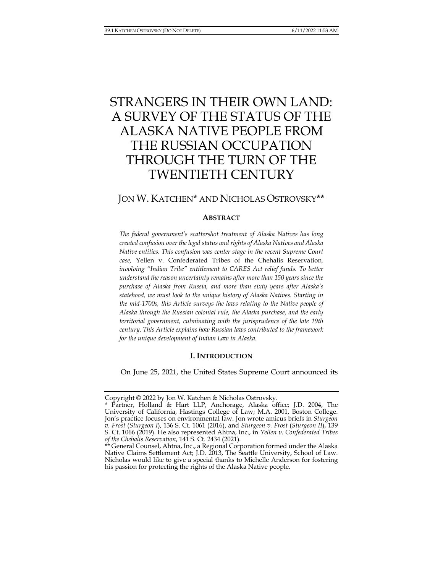# STRANGERS IN THEIR OWN LAND: A SURVEY OF THE STATUS OF THE ALASKA NATIVE PEOPLE FROM THE RUSSIAN OCCUPATION THROUGH THE TURN OF THE TWENTIETH CENTURY

## JON W. KATCHEN\* AND NICHOLAS OSTROVSKY\*\*

## **ABSTRACT**

*The federal government's scattershot treatment of Alaska Natives has long created confusion over the legal status and rights of Alaska Natives and Alaska Native entities. This confusion was center stage in the recent Supreme Court case,* Yellen v. Confederated Tribes of the Chehalis Reservation*, involving* "Indian Tribe" entitlement to CARES Act relief funds. To better *understand the reason uncertainty remains after more than 150 years since the purchase of Alaska from Russia, and more than sixty years after Alaska's statehood, we must look to the unique history of Alaska Natives. Starting in the mid-1700s, this Article surveys the laws relating to the Native people of Alaska through the Russian colonial rule, the Alaska purchase, and the early territorial government, culminating with the jurisprudence of the late 19th century. This Article explains how Russian laws contributed to the framework for the unique development of Indian Law in Alaska.* 

## **I. INTRODUCTION**

On June 25, 2021, the United States Supreme Court announced its

Copyright © 2022 by Jon W. Katchen & Nicholas Ostrovsky.

<sup>\*</sup> Partner, Holland & Hart LLP, Anchorage, Alaska office; J.D. 2004, The University of California, Hastings College of Law; M.A. 2001, Boston College. Jon's practice focuses on environmental law. Jon wrote amicus briefs in *Sturgeon v. Frost* (*Sturgeon I*), 136 S. Ct. 1061 (2016), and *Sturgeon v. Frost* (*Sturgeon II*), 139 S. Ct. 1066 (2019). He also represented Ahtna, Inc., in *Yellen v. Confederated Tribes of the Chehalis Reservation*, 141 S. Ct. 2434 (2021).

<sup>\*\*</sup> General Counsel, Ahtna, Inc., a Regional Corporation formed under the Alaska Native Claims Settlement Act; J.D. 2013, The Seattle University, School of Law. Nicholas would like to give a special thanks to Michelle Anderson for fostering his passion for protecting the rights of the Alaska Native people.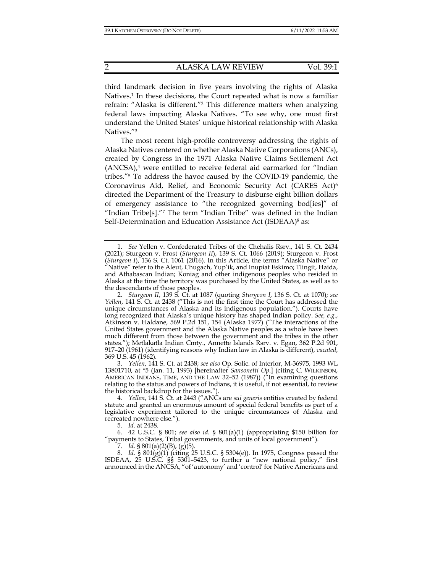third landmark decision in five years involving the rights of Alaska Natives.<sup>1</sup> In these decisions, the Court repeated what is now a familiar refrain: "Alaska is different."2 This difference matters when analyzing federal laws impacting Alaska Natives. "To see why, one must first understand the United States' unique historical relationship with Alaska Natives."3

The most recent high-profile controversy addressing the rights of Alaska Natives centered on whether Alaska Native Corporations (ANCs), created by Congress in the 1971 Alaska Native Claims Settlement Act  $(ANCSA)<sup>4</sup>$  were entitled to receive federal aid earmarked for "Indian tribes."5 To address the havoc caused by the COVID-19 pandemic, the Coronavirus Aid, Relief, and Economic Security Act (CARES Act)6 directed the Department of the Treasury to disburse eight billion dollars of emergency assistance to "the recognized governing bod[ies]" of "Indian Tribe[s]."7 The term "Indian Tribe" was defined in the Indian Self-Determination and Education Assistance Act (ISDEAA)8 as:

5. *Id.* at 2438.

 6. 42 U.S.C. § 801; *see also id.* § 801(a)(1) (appropriating \$150 billion for "payments to States, Tribal governments, and units of local government").

7. *Id.* § 801(a)(2)(B), (g)(5).

 8. *Id.* § 801(g)(1) (citing 25 U.S.C. § 5304(e)). In 1975, Congress passed the ISDEAA, 25 U.S.C. §§ 5301–5423, to further a "new national policy," first announced in the ANCSA, "of 'autonomy' and 'control' for Native Americans and

 <sup>1.</sup> *See* Yellen v. Confederated Tribes of the Chehalis Rsrv., 141 S. Ct. 2434 (2021); Sturgeon v. Frost (*Sturgeon II*), 139 S. Ct. 1066 (2019); Sturgeon v. Frost (*Sturgeon I*), 136 S. Ct. 1061 (2016). In this Article, the terms "Alaska Native" or "Native" refer to the Aleut, Chugach, Yup'ik, and Inupiat Eskimo; Tlingit, Haida, and Athabascan Indian; Koniag and other indigenous peoples who resided in Alaska at the time the territory was purchased by the United States, as well as to the descendants of those peoples.

 <sup>2.</sup> *Sturgeon II*, 139 S. Ct. at 1087 (quoting *Sturgeon I*, 136 S. Ct. at 1070); *see Yellen*, 141 S. Ct. at 2438 ("This is not the first time the Court has addressed the unique circumstances of Alaska and its indigenous population."). Courts have long recognized that Alaska's unique history has shaped Indian policy. *See, e.g.*, Atkinson v. Haldane*,* 569 P.2d 151, 154 (Alaska 1977) ("The interactions of the United States government and the Alaska Native peoples as a whole have been much different from those between the government and the tribes in the other states."); Metlakatla Indian Cmty., Annette Islands Rsrv. v. Egan, 362 P.2d 901, 917–20 (1961) (identifying reasons why Indian law in Alaska is different), *vacated*, 369 U.S. 45 (1962).

 <sup>3.</sup> *Yellen*, 141 S. Ct*.* at 2438; *see also* Op. Solic. of Interior, M-36975, 1993 WL 13801710, at \*5 (Jan. 11, 1993) [hereinafter *Sansonetti Op*.] (citing C. WILKINSON, AMERICAN INDIANS, TIME, AND THE LAW 32–52 (1987)) ("In examining questions relating to the status and powers of Indians, it is useful, if not essential, to review the historical backdrop for the issues.").

 <sup>4.</sup> *Yellen*, 141 S. Ct. at 2443 ("ANCs are *sui generis* entities created by federal statute and granted an enormous amount of special federal benefits as part of a legislative experiment tailored to the unique circumstances of Alaska and recreated nowhere else.").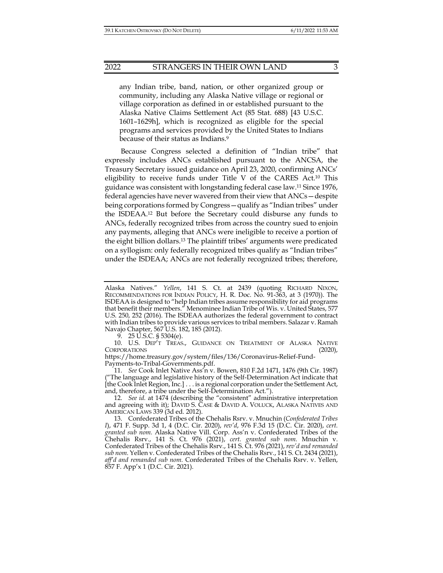any Indian tribe, band, nation, or other organized group or community, including any Alaska Native village or regional or village corporation as defined in or established pursuant to the Alaska Native Claims Settlement Act (85 Stat. 688) [43 U.S.C. 1601–1629h], which is recognized as eligible for the special programs and services provided by the United States to Indians because of their status as Indians.<sup>9</sup>

Because Congress selected a definition of "Indian tribe" that expressly includes ANCs established pursuant to the ANCSA, the Treasury Secretary issued guidance on April 23, 2020, confirming ANCs' eligibility to receive funds under Title V of the CARES Act.<sup>10</sup> This guidance was consistent with longstanding federal case law.11 Since 1976, federal agencies have never wavered from their view that ANCs—despite being corporations formed by Congress—qualify as "Indian tribes" under the ISDEAA.12 But before the Secretary could disburse any funds to ANCs, federally recognized tribes from across the country sued to enjoin any payments, alleging that ANCs were ineligible to receive a portion of the eight billion dollars.13 The plaintiff tribes' arguments were predicated on a syllogism: only federally recognized tribes qualify as "Indian tribes" under the ISDEAA; ANCs are not federally recognized tribes; therefore,

9. 25 U.S.C. § 5304(e).

 10. U.S. DEP'T TREAS., GUIDANCE ON TREATMENT OF ALASKA NATIVE CORPORATIONS (2020),

https://home.treasury.gov/system/files/136/Coronavirus-Relief-Fund-Payments-to-Tribal-Governments.pdf.

 11. *See* Cook Inlet Native Ass'n v. Bowen, 810 F.2d 1471, 1476 (9th Cir. 1987) ("The language and legislative history of the Self-Determination Act indicate that [the Cook Inlet Region, Inc.] . . . is a regional corporation under the Settlement Act, and, therefore, a tribe under the Self-Determination Act.").

 12. *See id.* at 1474 (describing the "consistent" administrative interpretation and agreeing with it); DAVID S. CASE & DAVID A. VOLUCK, ALASKA NATIVES AND AMERICAN LAWS 339 (3d ed. 2012).

Alaska Natives." *Yellen*, 141 S. Ct. at 2439 (quoting RICHARD NIXON, RECOMMENDATIONS FOR INDIAN POLICY, H. R. Doc. No. 91-363, at 3 (1970)). The ISDEAA is designed to "help Indian tribes assume responsibility for aid programs that benefit their members." Menominee Indian Tribe of Wis. v. United States, 577 U.S. 250, 252 (2016). The ISDEAA authorizes the federal government to contract with Indian tribes to provide various services to tribal members. Salazar v. Ramah Navajo Chapter, 567 U.S. 182, 185 (2012).

 <sup>13.</sup> Confederated Tribes of the Chehalis Rsrv. v. Mnuchin (*Confederated Tribes I*), 471 F. Supp. 3d 1, 4 (D.C. Cir. 2020), *rev'd*, 976 F.3d 15 (D.C. Cir. 2020), *cert. granted sub nom.* Alaska Native Vill. Corp. Ass'n v. Confederated Tribes of the Chehalis Rsrv*.*, 141 S. Ct. 976 (2021), *cert. granted sub nom.* Mnuchin v. Confederated Tribes of the Chehalis Rsrv*.*, 141 S. Ct. 976 (2021), *rev'd and remanded sub nom.* Yellen v. Confederated Tribes of the Chehalis Rsrv*.*, 141 S. Ct. 2434 (2021), *aff'd and remanded sub nom.* Confederated Tribes of the Chehalis Rsrv. v. Yellen, 857 F. App'x 1 (D.C. Cir. 2021).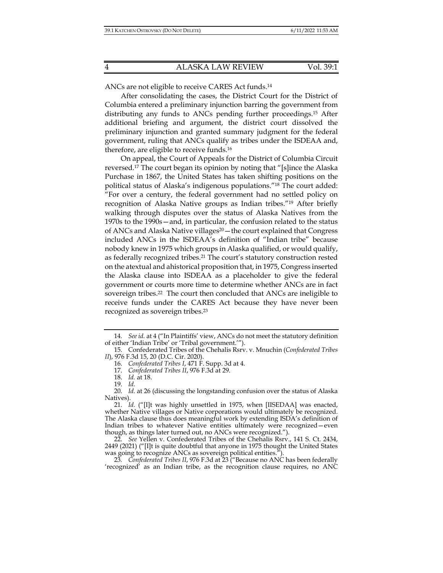ANCs are not eligible to receive CARES Act funds.14

After consolidating the cases, the District Court for the District of Columbia entered a preliminary injunction barring the government from distributing any funds to ANCs pending further proceedings.15 After additional briefing and argument, the district court dissolved the preliminary injunction and granted summary judgment for the federal government, ruling that ANCs qualify as tribes under the ISDEAA and, therefore, are eligible to receive funds.16

On appeal, the Court of Appeals for the District of Columbia Circuit reversed.17 The court began its opinion by noting that "[s]ince the Alaska Purchase in 1867, the United States has taken shifting positions on the political status of Alaska's indigenous populations."18 The court added: "For over a century, the federal government had no settled policy on recognition of Alaska Native groups as Indian tribes."19 After briefly walking through disputes over the status of Alaska Natives from the 1970s to the 1990s—and, in particular, the confusion related to the status of ANCs and Alaska Native villages<sup>20</sup> – the court explained that Congress included ANCs in the ISDEAA's definition of "Indian tribe" because nobody knew in 1975 which groups in Alaska qualified, or would qualify, as federally recognized tribes.21 The court's statutory construction rested on the atextual and ahistorical proposition that, in 1975, Congress inserted the Alaska clause into ISDEAA as a placeholder to give the federal government or courts more time to determine whether ANCs are in fact sovereign tribes.<sup>22</sup> The court then concluded that ANCs are ineligible to receive funds under the CARES Act because they have never been recognized as sovereign tribes.23

<sup>14</sup>*. See id.* at 4 ("In Plaintiffs' view, ANCs do not meet the statutory definition of either 'Indian Tribe' or 'Tribal government.'").

 <sup>15.</sup> Confederated Tribes of the Chehalis Rsrv. v. Mnuchin (*Confederated Tribes II*), 976 F.3d 15, 20 (D.C. Cir. 2020).

 <sup>16.</sup> *Confederated Tribes I*, 471 F. Supp. 3d at 4.

 <sup>17.</sup> *Confederated Tribes II*, 976 F.3d at 29.

 <sup>18.</sup> *Id.* at 18.

 <sup>19.</sup> *Id.*

 <sup>20.</sup> *Id.* at 26 (discussing the longstanding confusion over the status of Alaska Natives).

 <sup>21.</sup> *Id.* ("[I]t was highly unsettled in 1975, when [IISEDAA] was enacted, whether Native villages or Native corporations would ultimately be recognized. The Alaska clause thus does meaningful work by extending ISDA's definition of Indian tribes to whatever Native entities ultimately were recognized—even though, as things later turned out, no ANCs were recognized.").

 <sup>22.</sup> *See* Yellen v. Confederated Tribes of the Chehalis Rsrv., 141 S. Ct. 2434, 2449 (2021) ("[I]t is quite doubtful that anyone in 1975 thought the United States was going to recognize ANCs as sovereign political entities.<sup>"</sup>).

<sup>23</sup>*. Confederated Tribes II*, 976 F.3d at 23 ("Because no ANC has been federally 'recognized' as an Indian tribe, as the recognition clause requires, no ANC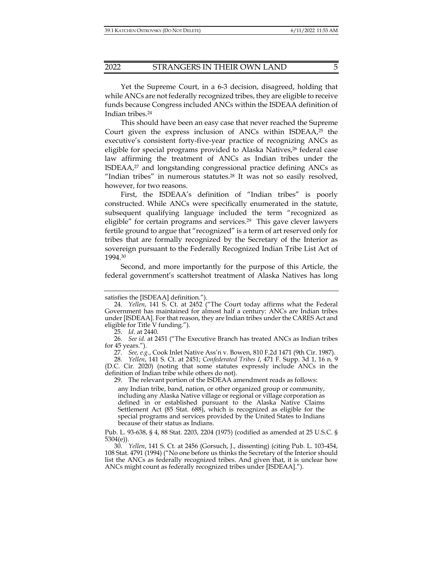Yet the Supreme Court, in a 6-3 decision, disagreed, holding that while ANCs are not federally recognized tribes, they are eligible to receive funds because Congress included ANCs within the ISDEAA definition of Indian tribes.24

This should have been an easy case that never reached the Supreme Court given the express inclusion of ANCs within ISDEAA,25 the executive's consistent forty-five-year practice of recognizing ANCs as eligible for special programs provided to Alaska Natives,26 federal case law affirming the treatment of ANCs as Indian tribes under the  $ISDEAA<sub>2</sub><sup>27</sup>$  and longstanding congressional practice defining ANCs as "Indian tribes" in numerous statutes.28 It was not so easily resolved, however, for two reasons.

First, the ISDEAA's definition of "Indian tribes" is poorly constructed. While ANCs were specifically enumerated in the statute, subsequent qualifying language included the term "recognized as eligible" for certain programs and services.<sup>29</sup> This gave clever lawyers fertile ground to argue that "recognized" is a term of art reserved only for tribes that are formally recognized by the Secretary of the Interior as sovereign pursuant to the Federally Recognized Indian Tribe List Act of 1994.30

Second, and more importantly for the purpose of this Article, the federal government's scattershot treatment of Alaska Natives has long

 28. *Yellen*, 141 S. Ct. at 2451; *Confederated Tribes I*, 471 F. Supp. 3d 1, 16 n. 9 (D.C. Cir. 2020) (noting that some statutes expressly include ANCs in the definition of Indian tribe while others do not).

29. The relevant portion of the ISDEAA amendment reads as follows:

any Indian tribe, band, nation, or other organized group or community, including any Alaska Native village or regional or village corporation as defined in or established pursuant to the Alaska Native Claims Settlement Act (85 Stat. 688), which is recognized as eligible for the special programs and services provided by the United States to Indians because of their status as Indians.

Pub. L. 93-638, § 4, 88 Stat. 2203, 2204 (1975) (codified as amended at 25 U.S.C. § 5304(e)).

 30. *Yellen*, 141 S. Ct. at 2456 (Gorsuch, J., dissenting) (citing Pub. L. 103-454, 108 Stat. 4791 (1994) ("No one before us thinks the Secretary of the Interior should list the ANCs as federally recognized tribes. And given that, it is unclear how ANCs might count as federally recognized tribes under [ISDEAA].").

satisfies the [ISDEAA] definition.").

 <sup>24.</sup> *Yellen*, 141 S. Ct. at 2452 ("The Court today affirms what the Federal Government has maintained for almost half a century: ANCs are Indian tribes under [ISDEAA]. For that reason, they are Indian tribes under the CARES Act and eligible for Title V funding.").

 <sup>25.</sup> *Id.* at 2440.

<sup>26</sup>*. See id.* at 2451 ("The Executive Branch has treated ANCs as Indian tribes for 45 years.").

 <sup>27.</sup> *See, e.g.*, Cook Inlet Native Ass'n v. Bowen, 810 F.2d 1471 (9th Cir. 1987).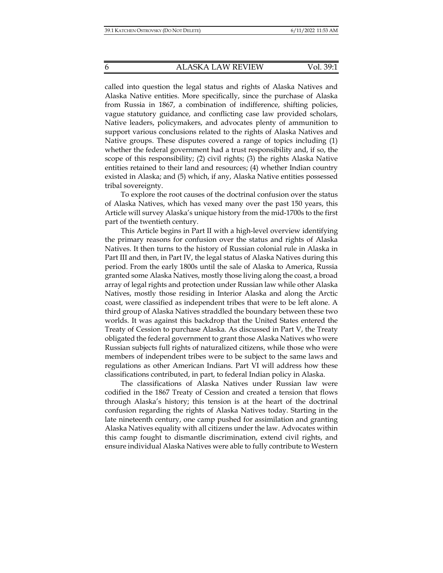called into question the legal status and rights of Alaska Natives and Alaska Native entities. More specifically, since the purchase of Alaska from Russia in 1867, a combination of indifference, shifting policies, vague statutory guidance, and conflicting case law provided scholars, Native leaders, policymakers, and advocates plenty of ammunition to support various conclusions related to the rights of Alaska Natives and Native groups. These disputes covered a range of topics including (1) whether the federal government had a trust responsibility and, if so, the scope of this responsibility; (2) civil rights; (3) the rights Alaska Native entities retained to their land and resources; (4) whether Indian country existed in Alaska; and (5) which, if any, Alaska Native entities possessed tribal sovereignty.

To explore the root causes of the doctrinal confusion over the status of Alaska Natives, which has vexed many over the past 150 years, this Article will survey Alaska's unique history from the mid-1700s to the first part of the twentieth century.

This Article begins in Part II with a high-level overview identifying the primary reasons for confusion over the status and rights of Alaska Natives. It then turns to the history of Russian colonial rule in Alaska in Part III and then, in Part IV, the legal status of Alaska Natives during this period. From the early 1800s until the sale of Alaska to America, Russia granted some Alaska Natives, mostly those living along the coast, a broad array of legal rights and protection under Russian law while other Alaska Natives, mostly those residing in Interior Alaska and along the Arctic coast, were classified as independent tribes that were to be left alone. A third group of Alaska Natives straddled the boundary between these two worlds. It was against this backdrop that the United States entered the Treaty of Cession to purchase Alaska. As discussed in Part V, the Treaty obligated the federal government to grant those Alaska Natives who were Russian subjects full rights of naturalized citizens, while those who were members of independent tribes were to be subject to the same laws and regulations as other American Indians. Part VI will address how these classifications contributed, in part, to federal Indian policy in Alaska.

The classifications of Alaska Natives under Russian law were codified in the 1867 Treaty of Cession and created a tension that flows through Alaska's history; this tension is at the heart of the doctrinal confusion regarding the rights of Alaska Natives today. Starting in the late nineteenth century, one camp pushed for assimilation and granting Alaska Natives equality with all citizens under the law. Advocates within this camp fought to dismantle discrimination, extend civil rights, and ensure individual Alaska Natives were able to fully contribute to Western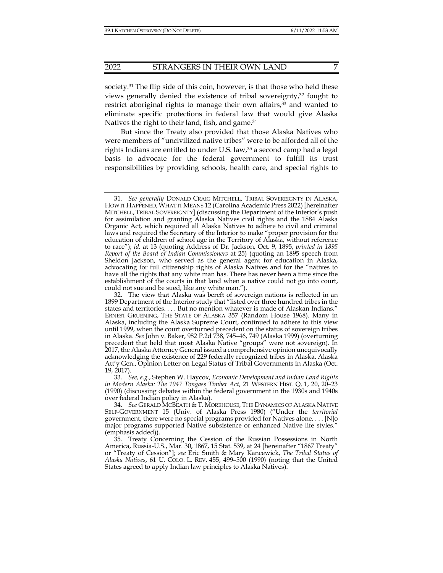society.<sup>31</sup> The flip side of this coin, however, is that those who held these views generally denied the existence of tribal sovereignty, $32$  fought to restrict aboriginal rights to manage their own affairs,<sup>33</sup> and wanted to eliminate specific protections in federal law that would give Alaska Natives the right to their land, fish, and game.<sup>34</sup>

But since the Treaty also provided that those Alaska Natives who were members of "uncivilized native tribes" were to be afforded all of the rights Indians are entitled to under U.S. law, $35$  a second camp had a legal basis to advocate for the federal government to fulfill its trust responsibilities by providing schools, health care, and special rights to

<sup>31</sup>*. See generally* DONALD CRAIG MITCHELL, TRIBAL SOVEREIGNTY IN ALASKA, HOW IT HAPPENED, WHAT IT MEANS 12 (Carolina Academic Press 2022) [hereinafter MITCHELL, TRIBAL SOVEREIGNTY] (discussing the Department of the Interior's push for assimilation and granting Alaska Natives civil rights and the 1884 Alaska Organic Act, which required all Alaska Natives to adhere to civil and criminal laws and required the Secretary of the Interior to make "proper provision for the education of children of school age in the Territory of Alaska, without reference to race"); *id.* at 13 (quoting Address of Dr. Jackson, Oct. 9, 1895, *printed in 1895 Report of the Board of Indian Commissioners* at 25) (quoting an 1895 speech from Sheldon Jackson, who served as the general agent for education in Alaska, advocating for full citizenship rights of Alaska Natives and for the "natives to have all the rights that any white man has. There has never been a time since the establishment of the courts in that land when a native could not go into court, could not sue and be sued, like any white man.").

 <sup>32.</sup> The view that Alaska was bereft of sovereign nations is reflected in an 1899 Department of the Interior study that "listed over three hundred tribes in the states and territories. . . . But no mention whatever is made of Alaskan Indians." ERNEST GRUENING, THE STATE OF ALASKA 357 (Random House 1968). Many in Alaska, including the Alaska Supreme Court, continued to adhere to this view until 1999, when the court overturned precedent on the status of sovereign tribes in Alaska. *See* John v. Baker, 982 P.2d 738, 745–46, 749 (Alaska 1999) (overturning precedent that held that most Alaska Native "groups" were not sovereign). In 2017, the Alaska Attorney General issued a comprehensive opinion unequivocally acknowledging the existence of 229 federally recognized tribes in Alaska. Alaska Att'y Gen., Opinion Letter on Legal Status of Tribal Governments in Alaska (Oct. 19, 2017).

<sup>33</sup>*. See, e.g.*, Stephen W. Haycox, *Economic Development and Indian Land Rights in Modern Alaska: The 1947 Tongass Timber Act*, 21 WESTERN HIST. Q. 1, 20, 20–23 (1990) (discussing debates within the federal government in the 1930s and 1940s over federal Indian policy in Alaska).

 <sup>34.</sup> *See* GERALD MCBEATH & T. MOREHOUSE, THE DYNAMICS OF ALASKA NATIVE SELF-GOVERNMENT 15 (Univ. of Alaska Press 1980) ("Under the *territorial* government, there were no special programs provided for Natives alone. . . . [N]o major programs supported Native subsistence or enhanced Native life styles." (emphasis added)).

 <sup>35.</sup> Treaty Concerning the Cession of the Russian Possessions in North America, Russia-U.S., Mar. 30, 1867, 15 Stat. 539, at 24 [hereinafter "1867 Treaty" or "Treaty of Cession"]; *see* Eric Smith & Mary Kancewick, *The Tribal Status of Alaska Natives*, 61 U. COLO. L. REV. 455, 499–500 (1990) (noting that the United States agreed to apply Indian law principles to Alaska Natives).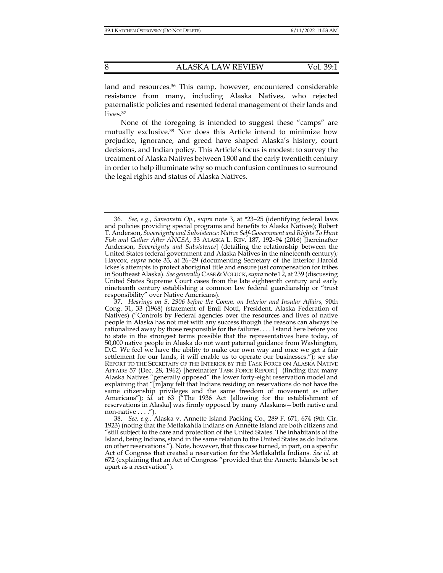land and resources.36 This camp, however, encountered considerable resistance from many, including Alaska Natives, who rejected paternalistic policies and resented federal management of their lands and lives.<sup>37</sup>

None of the foregoing is intended to suggest these "camps" are mutually exclusive.38 Nor does this Article intend to minimize how prejudice, ignorance, and greed have shaped Alaska's history, court decisions, and Indian policy. This Article's focus is modest: to survey the treatment of Alaska Natives between 1800 and the early twentieth century in order to help illuminate why so much confusion continues to surround the legal rights and status of Alaska Natives.

 <sup>36.</sup> *See, e.g.*, *Sansonetti Op.*, *supra* note 3, at \*23–25 (identifying federal laws and policies providing special programs and benefits to Alaska Natives); Robert T. Anderson, *Sovereignty and Subsistence: Native Self-Government and Rights To Hunt Fish and Gather After ANCSA*, 33 ALASKA L. REV. 187, 192–94 (2016) [hereinafter Anderson, *Sovereignty and Subsistence*] (detailing the relationship between the United States federal government and Alaska Natives in the nineteenth century); Haycox, *supra* note 33, at 26–29 (documenting Secretary of the Interior Harold Ickes's attempts to protect aboriginal title and ensure just compensation for tribes in Southeast Alaska). *See generally* CASE &VOLUCK,*supra* note 12, at 239 (discussing United States Supreme Court cases from the late eighteenth century and early nineteenth century establishing a common law federal guardianship or "trust responsibility" over Native Americans).

 <sup>37.</sup> *Hearings on S. 2906 before the Comm. on Interior and Insular Affairs,* 90th Cong. 31, 33 (1968) (statement of Emil Notti, President, Alaska Federation of Natives) ("Controls by Federal agencies over the resources and lives of native people in Alaska has not met with any success though the reasons can always be rationalized away by those responsible for the failures. . . . I stand here before you to state in the strongest terms possible that the representatives here today, of 50,000 native people in Alaska do not want paternal guidance from Washington, D.C. We feel we have the ability to make our own way and once we get a fair settlement for our lands, it will enable us to operate our businesses."); *see also* REPORT TO THE SECRETARY OF THE INTERIOR BY THE TASK FORCE ON ALASKA NATIVE AFFAIRS 57 (Dec. 28, 1962) [hereinafter TASK FORCE REPORT] (finding that many Alaska Natives "generally opposed" the lower forty-eight reservation model and explaining that "[m]any felt that Indians residing on reservations do not have the same citizenship privileges and the same freedom of movement as other Americans"); *id.* at 63 ("The 1936 Act [allowing for the establishment of reservations in Alaska] was firmly opposed by many Alaskans—both native and non-native . . . .").

 <sup>38.</sup> *See, e.g.*, Alaska v. Annette Island Packing Co., 289 F. 671, 674 (9th Cir. 1923) (noting that the Metlakahtla Indians on Annette Island are both citizens and "still subject to the care and protection of the United States. The inhabitants of the Island, being Indians, stand in the same relation to the United States as do Indians on other reservations."). Note, however, that this case turned, in part, on a specific Act of Congress that created a reservation for the Metlakahtla Indians. *See id.* at 672 (explaining that an Act of Congress "provided that the Annette Islands be set apart as a reservation").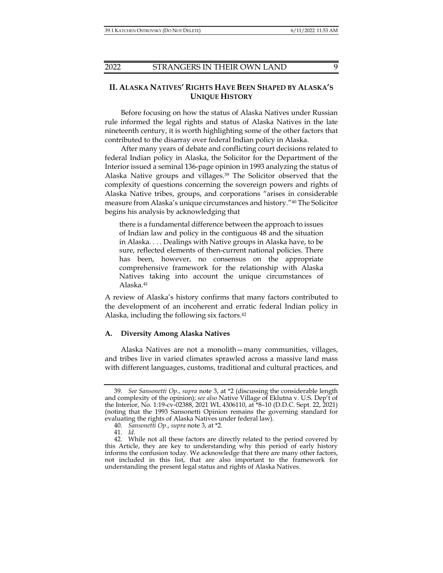## **II. ALASKA NATIVES' RIGHTS HAVE BEEN SHAPED BY ALASKA'S UNIQUE HISTORY**

Before focusing on how the status of Alaska Natives under Russian rule informed the legal rights and status of Alaska Natives in the late nineteenth century, it is worth highlighting some of the other factors that contributed to the disarray over federal Indian policy in Alaska.

After many years of debate and conflicting court decisions related to federal Indian policy in Alaska, the Solicitor for the Department of the Interior issued a seminal 136-page opinion in 1993 analyzing the status of Alaska Native groups and villages.39 The Solicitor observed that the complexity of questions concerning the sovereign powers and rights of Alaska Native tribes, groups, and corporations "arises in considerable measure from Alaska's unique circumstances and history."40 The Solicitor begins his analysis by acknowledging that

there is a fundamental difference between the approach to issues of Indian law and policy in the contiguous 48 and the situation in Alaska. . . . Dealings with Native groups in Alaska have, to be sure, reflected elements of then-current national policies. There has been, however, no consensus on the appropriate comprehensive framework for the relationship with Alaska Natives taking into account the unique circumstances of Alaska.41

A review of Alaska's history confirms that many factors contributed to the development of an incoherent and erratic federal Indian policy in Alaska, including the following six factors.42

#### **A. Diversity Among Alaska Natives**

Alaska Natives are not a monolith—many communities, villages, and tribes live in varied climates sprawled across a massive land mass with different languages, customs, traditional and cultural practices, and

 <sup>39.</sup> *See Sansonetti Op.*, *supra* note 3, at \*2 (discussing the considerable length and complexity of the opinion); *see also* Native Village of Eklutna v. U.S. Dep't of the Interior, No. 1:19-cv-02388, 2021 WL 4306110, at \*8–10 (D.D.C. Sept. 22, 2021) (noting that the 1993 Sansonetti Opinion remains the governing standard for evaluating the rights of Alaska Natives under federal law).

 <sup>40.</sup> *Sansonetti Op.*, *supra* note 3, at \*2.

 <sup>41.</sup> *Id*.

 <sup>42.</sup> While not all these factors are directly related to the period covered by this Article, they are key to understanding why this period of early history informs the confusion today. We acknowledge that there are many other factors, not included in this list, that are also important to the framework for understanding the present legal status and rights of Alaska Natives.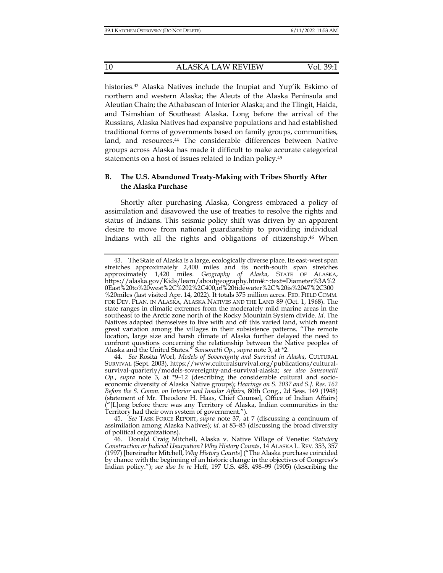histories.43 Alaska Natives include the Inupiat and Yup'ik Eskimo of northern and western Alaska; the Aleuts of the Alaska Peninsula and Aleutian Chain; the Athabascan of Interior Alaska; and the Tlingit, Haida, and Tsimshian of Southeast Alaska. Long before the arrival of the Russians, Alaska Natives had expansive populations and had established traditional forms of governments based on family groups, communities, land, and resources.<sup>44</sup> The considerable differences between Native groups across Alaska has made it difficult to make accurate categorical statements on a host of issues related to Indian policy.45

## **B. The U.S. Abandoned Treaty-Making with Tribes Shortly After the Alaska Purchase**

Shortly after purchasing Alaska, Congress embraced a policy of assimilation and disavowed the use of treaties to resolve the rights and status of Indians. This seismic policy shift was driven by an apparent desire to move from national guardianship to providing individual Indians with all the rights and obligations of citizenship.46 When

 45. *See* TASK FORCE REPORT, *supra* note 37, at 7 (discussing a continuum of assimilation among Alaska Natives); *id.* at 83–85 (discussing the broad diversity of political organizations).

 <sup>43.</sup> The State of Alaska is a large, ecologically diverse place. Its east-west span stretches approximately 2,400 miles and its north-south span stretches approximately 1,420 miles. *Geography of Alaska*, STATE OF ALASKA, https://alaska.gov/Kids/learn/aboutgeography.htm#:~:text=Diameter%3A%2 0East%20to%20west%2C%202%2C400,of%20tidewater%2C%20is%2047%2C300 %20miles (last visited Apr. 14, 2022). It totals 375 million acres. FED. FIELD COMM. FOR DEV. PLAN. IN ALASKA, ALASKA NATIVES AND THE LAND 89 (Oct. 1, 1968). The state ranges in climatic extremes from the moderately mild marine areas in the southeast to the Arctic zone north of the Rocky Mountain System divide. *Id*. The Natives adapted themselves to live with and off this varied land, which meant great variation among the villages in their subsistence patterns. "The remote location, large size and harsh climate of Alaska further delayed the need to confront questions concerning the relationship between the Native peoples of Alaska and the United States." *Sansonetti Op.*, *supra* note 3, at \*2.

 <sup>44.</sup> *See* Rosita Worl, *Models of Sovereignty and Survival in Alaska*, CULTURAL SURVIVAL (Sept. 2003), https://www.culturalsurvival.org/publications/culturalsurvival-quarterly/models-sovereignty-and-survival-alaska; *see also Sansonetti Op*., *supra* note 3, at \*9–12 (describing the considerable cultural and socioeconomic diversity of Alaska Native groups); *Hearings on S. 2037 and S.J. Res. 162 Before the S. Comm. on Interior and Insular Affairs,* 80th Cong., 2d Sess. 149 (1948) (statement of Mr. Theodore H. Haas, Chief Counsel, Office of Indian Affairs) ("[L]ong before there was any Territory of Alaska, Indian communities in the Territory had their own system of government.").

 <sup>46.</sup> Donald Craig Mitchell, Alaska v. Native Village of Venetie: *Statutory Construction or Judicial Usurpation? Why History Counts*, 14 ALASKA L. REV. 353, 357 (1997) [hereinafter Mitchell, *Why History Counts*] ("The Alaska purchase coincided by chance with the beginning of an historic change in the objectives of Congress's Indian policy."); *see also In re* Heff, 197 U.S. 488, 498–99 (1905) (describing the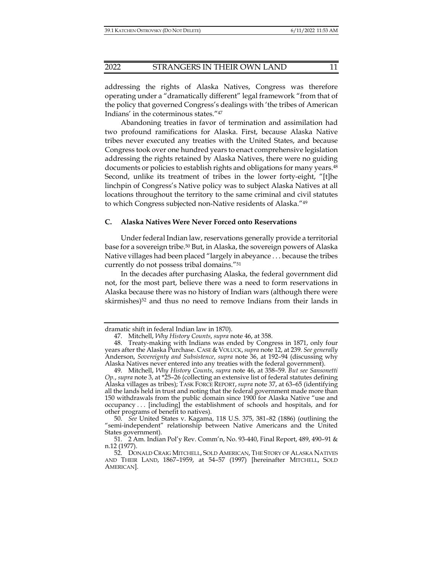addressing the rights of Alaska Natives, Congress was therefore operating under a "dramatically different" legal framework "from that of the policy that governed Congress's dealings with 'the tribes of American Indians' in the coterminous states."47

Abandoning treaties in favor of termination and assimilation had two profound ramifications for Alaska. First, because Alaska Native tribes never executed any treaties with the United States, and because Congress took over one hundred years to enact comprehensive legislation addressing the rights retained by Alaska Natives, there were no guiding documents or policies to establish rights and obligations for many years.<sup>48</sup> Second, unlike its treatment of tribes in the lower forty-eight, "[t]he linchpin of Congress's Native policy was to subject Alaska Natives at all locations throughout the territory to the same criminal and civil statutes to which Congress subjected non-Native residents of Alaska."49

#### **C. Alaska Natives Were Never Forced onto Reservations**

Under federal Indian law, reservations generally provide a territorial base for a sovereign tribe.50 But, in Alaska, the sovereign powers of Alaska Native villages had been placed "largely in abeyance . . . because the tribes currently do not possess tribal domains."51

In the decades after purchasing Alaska, the federal government did not, for the most part, believe there was a need to form reservations in Alaska because there was no history of Indian wars (although there were skirmishes)<sup>52</sup> and thus no need to remove Indians from their lands in

dramatic shift in federal Indian law in 1870).

 <sup>47.</sup> Mitchell, *Why History Counts*, *supra* note 46, at 358.

 <sup>48.</sup> Treaty-making with Indians was ended by Congress in 1871, only four years after the Alaska Purchase. CASE & VOLUCK,*supra* note 12, at 239. *See generally*  Anderson, *Sovereignty and Subsistence*, *supra* note 36, at 192–94 (discussing why Alaska Natives never entered into any treaties with the federal government).

 <sup>49.</sup> Mitchell, *Why History Counts*, *supra* note 46, at 358–59. *But see Sansonetti Op.*, *supra* note 3, at \*25–26 (collecting an extensive list of federal statutes defining Alaska villages as tribes); TASK FORCE REPORT, *supra* note 37, at 63–65 (identifying all the lands held in trust and noting that the federal government made more than 150 withdrawals from the public domain since 1900 for Alaska Native "use and occupancy . . . [including] the establishment of schools and hospitals, and for other programs of benefit to natives).

 <sup>50.</sup> *See* United States v. Kagama, 118 U.S. 375, 381–82 (1886) (outlining the "semi-independent" relationship between Native Americans and the United States government).

 <sup>51. 2</sup> Am. Indian Pol'y Rev. Comm'n, No. 93-440, Final Report, 489, 490–91 & n.12 (1977).

 <sup>52.</sup> DONALD CRAIG MITCHELL, SOLD AMERICAN, THE STORY OF ALASKA NATIVES AND THEIR LAND, 1867–1959, at 54–57 (1997) [hereinafter MITCHELL, SOLD AMERICAN].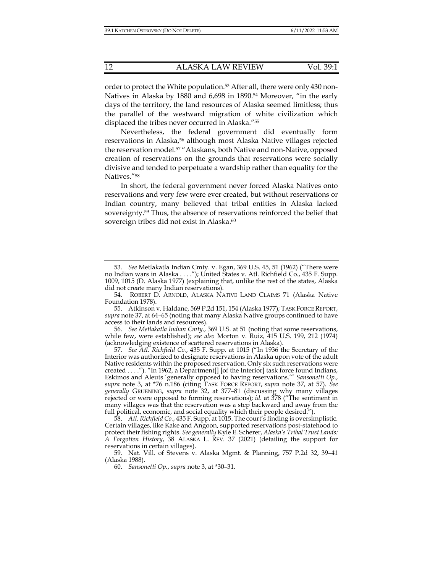order to protect the White population.53 After all, there were only 430 non-Natives in Alaska by 1880 and 6,698 in 1890.<sup>54</sup> Moreover, "in the early days of the territory, the land resources of Alaska seemed limitless; thus the parallel of the westward migration of white civilization which displaced the tribes never occurred in Alaska."55

Nevertheless, the federal government did eventually form reservations in Alaska,<sup>56</sup> although most Alaska Native villages rejected the reservation model.57 "Alaskans, both Native and non-Native, opposed creation of reservations on the grounds that reservations were socially divisive and tended to perpetuate a wardship rather than equality for the Natives."58

In short, the federal government never forced Alaska Natives onto reservations and very few were ever created, but without reservations or Indian country, many believed that tribal entities in Alaska lacked sovereignty.59 Thus, the absence of reservations reinforced the belief that sovereign tribes did not exist in Alaska.<sup>60</sup>

 56. *See Metlakatla Indian Cmty.*, 369 U.S. at 51 (noting that some reservations, while few, were established); *see also* Morton v. Ruiz*,* 415 U.S. 199, 212 (1974) (acknowledging existence of scattered reservations in Alaska).

 57. *See Atl. Richfield Co.*, 435 F. Supp. at 1015 ("In 1936 the Secretary of the Interior was authorized to designate reservations in Alaska upon vote of the adult Native residents within the proposed reservation. Only six such reservations were created . . . ."). "In 1962, a Department[] [of the Interior] task force found Indians, Eskimos and Aleuts 'generally opposed to having reservations.'" *Sansonetti Op.*, *supra* note 3, at \*76 n.186 (citing TASK FORCE REPORT, *supra* note 37, at 57). *See generally* GRUENING, *supra* note 32, at 377–81 (discussing why many villages rejected or were opposed to forming reservations); *id.* at 378 ("The sentiment in many villages was that the reservation was a step backward and away from the full political, economic, and social equality which their people desired.").

 58. *Atl. Richfield Co.*, 435 F. Supp. at 1015. The court's finding is oversimplistic. Certain villages, like Kake and Angoon, supported reservations post-statehood to protect their fishing rights. *See generally* Kyle E. Scherer, *Alaska's Tribal Trust Lands: A Forgotten History*, 38 ALASKA L. REV. 37 (2021) (detailing the support for reservations in certain villages).

 59. Nat. Vill. of Stevens v. Alaska Mgmt. & Planning, 757 P.2d 32, 39–41 (Alaska 1988).

60. *Sansonetti Op.*, *supra* note 3, at \*30–31.

 <sup>53.</sup> *See* Metlakatla Indian Cmty. v. Egan, 369 U.S. 45, 51 (1962) ("There were no Indian wars in Alaska . . . ."); United States v. Atl. Richfield Co., 435 F. Supp. 1009, 1015 (D. Alaska 1977) (explaining that, unlike the rest of the states, Alaska did not create many Indian reservations).

 <sup>54.</sup> ROBERT D. ARNOLD, ALASKA NATIVE LAND CLAIMS 71 (Alaska Native Foundation 1978).

 <sup>55.</sup> Atkinson v. Haldane, 569 P.2d 151, 154 (Alaska 1977); TASK FORCE REPORT, *supra* note 37, at 64–65 (noting that many Alaska Native groups continued to have access to their lands and resources).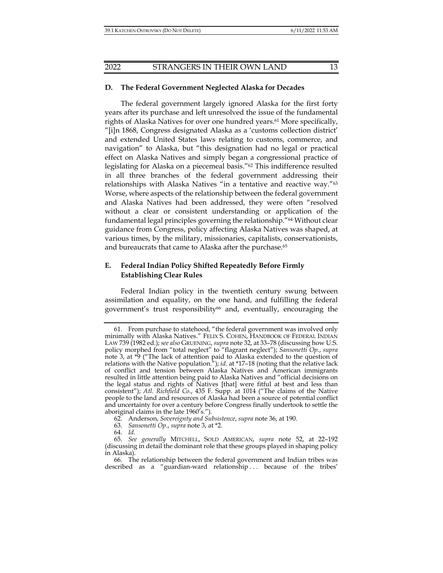## **D. The Federal Government Neglected Alaska for Decades**

The federal government largely ignored Alaska for the first forty years after its purchase and left unresolved the issue of the fundamental rights of Alaska Natives for over one hundred years.61 More specifically, "[i]n 1868, Congress designated Alaska as a 'customs collection district' and extended United States laws relating to customs, commerce, and navigation" to Alaska, but "this designation had no legal or practical effect on Alaska Natives and simply began a congressional practice of legislating for Alaska on a piecemeal basis."62 This indifference resulted in all three branches of the federal government addressing their relationships with Alaska Natives "in a tentative and reactive way."63 Worse, where aspects of the relationship between the federal government and Alaska Natives had been addressed, they were often "resolved without a clear or consistent understanding or application of the fundamental legal principles governing the relationship."64 Without clear guidance from Congress, policy affecting Alaska Natives was shaped, at various times, by the military, missionaries, capitalists, conservationists, and bureaucrats that came to Alaska after the purchase.<sup>65</sup>

## **E. Federal Indian Policy Shifted Repeatedly Before Firmly Establishing Clear Rules**

Federal Indian policy in the twentieth century swung between assimilation and equality, on the one hand, and fulfilling the federal government's trust responsibility<sup>66</sup> and, eventually, encouraging the

 <sup>61.</sup> From purchase to statehood, "the federal government was involved only minimally with Alaska Natives." FELIX S. COHEN, HANDBOOK OF FEDERAL INDIAN LAW 739 (1982 ed.); *see also* GRUENING, *supra* note 32, at 33–78 (discussing how U.S. policy morphed from "total neglect" to "flagrant neglect"); *Sansonetti Op.*, *supra*  note 3, at \*9 ("The lack of attention paid to Alaska extended to the question of relations with the Native population."); *id.* at \*17–18 (noting that the relative lack of conflict and tension between Alaska Natives and American immigrants resulted in little attention being paid to Alaska Natives and "official decisions on the legal status and rights of Natives [that] were fitful at best and less than consistent"); *Atl. Richfield Co.*, 435 F. Supp. at 1014 ("The claims of the Native people to the land and resources of Alaska had been a source of potential conflict and uncertainty for over a century before Congress finally undertook to settle the aboriginal claims in the late 1960's.").

 <sup>62.</sup> Anderson, *Sovereignty and Subsistence*, *supra* note 36, at 190.

 <sup>63.</sup> *Sansonetti Op.*, *supra* note 3, at \*2.

 <sup>64.</sup> *Id*.

 <sup>65.</sup> *See generally* MITCHELL, SOLD AMERICAN, *supra* note 52, at 22–192 (discussing in detail the dominant role that these groups played in shaping policy in Alaska).

 <sup>66.</sup> The relationship between the federal government and Indian tribes was described as a "guardian-ward relationship ... because of the tribes'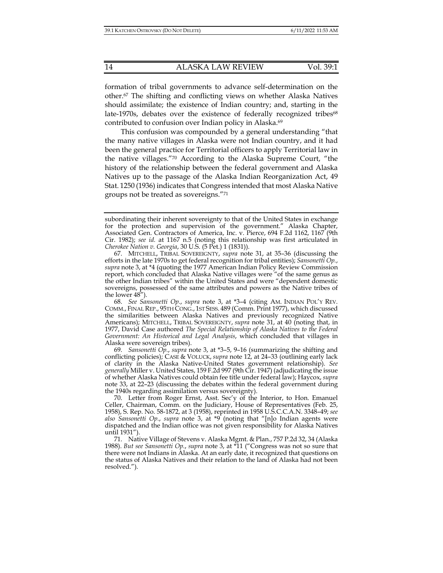formation of tribal governments to advance self-determination on the other.67 The shifting and conflicting views on whether Alaska Natives should assimilate; the existence of Indian country; and, starting in the late-1970s, debates over the existence of federally recognized tribes<sup>68</sup> contributed to confusion over Indian policy in Alaska.69

This confusion was compounded by a general understanding "that the many native villages in Alaska were not Indian country, and it had been the general practice for Territorial officers to apply Territorial law in the native villages."70 According to the Alaska Supreme Court, "the history of the relationship between the federal government and Alaska Natives up to the passage of the Alaska Indian Reorganization Act, 49 Stat. 1250 (1936) indicates that Congress intended that most Alaska Native groups not be treated as sovereigns."71

subordinating their inherent sovereignty to that of the United States in exchange for the protection and supervision of the government." Alaska Chapter, Associated Gen. Contractors of America, Inc. v. Pierce, 694 F.2d 1162, 1167 (9th Cir. 1982); *see id.* at 1167 n.5 (noting this relationship was first articulated in *Cherokee Nation v. Georgia*, 30 U.S. (5 Pet.) 1 (1831)).

 <sup>67.</sup> MITCHELL, TRIBAL SOVEREIGNTY, *supra* note 31, at 35–36 (discussing the efforts in the late 1970s to get federal recognition for tribal entities); *Sansonetti Op.*, *supra* note 3, at \*4 (quoting the 1977 American Indian Policy Review Commission report, which concluded that Alaska Native villages were "of the same genus as the other Indian tribes" within the United States and were "dependent domestic sovereigns, possessed of the same attributes and powers as the Native tribes of the lower 48").

 <sup>68.</sup> *See Sansonetti Op.*, *supra* note 3, at \*3–4 (citing AM. INDIAN POL'Y REV. COMM., FINAL REP., 95TH CONG., 1ST SESS. 489 (Comm. Print 1977), which discussed the similarities between Alaska Natives and previously recognized Native Americans); MITCHELL, TRIBAL SOVEREIGNTY, *supra* note 31, at 40 (noting that, in 1977, David Case authored *The Special Relationship of Alaska Natives to the Federal Government: An Historical and Legal Analysis*, which concluded that villages in Alaska were sovereign tribes).

 <sup>69.</sup> *Sansonetti Op.*, *supra* note 3, at \*3–5, 9–16 (summarizing the shifting and conflicting policies); CASE & VOLUCK, *supra* note 12, at 24–33 (outlining early lack of clarity in the Alaska Native-United States government relationship). *See generally* Miller v. United States, 159 F.2d 997 (9th Cir. 1947) (adjudicating the issue of whether Alaska Natives could obtain fee title under federal law); Haycox, *supra*  note 33, at 22–23 (discussing the debates within the federal government during the 1940s regarding assimilation versus sovereignty).

 <sup>70.</sup> Letter from Roger Ernst, Asst. Sec'y of the Interior, to Hon. Emanuel Celler, Chairman, Comm. on the Judiciary, House of Representatives (Feb. 25, 1958), S. Rep. No. 58-1872, at 3 (1958), reprinted in 1958 U.S.C.C.A.N. 3348–49; *see also Sansonetti Op.*, *supra* note 3, at \*9 (noting that "[n]o Indian agents were dispatched and the Indian office was not given responsibility for Alaska Natives until 1931").

 <sup>71.</sup> Native Village of Stevens v. Alaska Mgmt. & Plan., 757 P.2d 32, 34 (Alaska 1988). *But see Sansonetti Op.*, *supra* note 3, at \*11 ("Congress was not so sure that there were not Indians in Alaska. At an early date, it recognized that questions on the status of Alaska Natives and their relation to the land of Alaska had not been resolved.").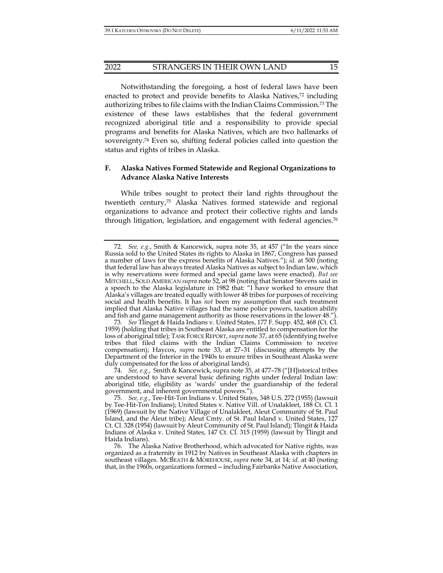#### 2022 STRANGERS IN THEIR OWN LAND 15

Notwithstanding the foregoing, a host of federal laws have been enacted to protect and provide benefits to Alaska Natives,72 including authorizing tribes to file claims with the Indian Claims Commission.73 The existence of these laws establishes that the federal government recognized aboriginal title and a responsibility to provide special programs and benefits for Alaska Natives, which are two hallmarks of sovereignty.74 Even so, shifting federal policies called into question the status and rights of tribes in Alaska.

## **F. Alaska Natives Formed Statewide and Regional Organizations to Advance Alaska Native Interests**

While tribes sought to protect their land rights throughout the twentieth century,75 Alaska Natives formed statewide and regional organizations to advance and protect their collective rights and lands through litigation, legislation, and engagement with federal agencies.76

 <sup>72.</sup> *See, e.g.*, Smith & Kancewick, supra note 35, at 457 ("In the years since Russia sold to the United States its rights to Alaska in 1867, Congress has passed a number of laws for the express benefits of Alaska Natives."); *id.* at 500 (noting that federal law has always treated Alaska Natives as subject to Indian law, which is why reservations were formed and special game laws were enacted). *But see*  MITCHELL, SOLD AMERICAN *supra* note 52, at 98 (noting that Senator Stevens said in a speech to the Alaska legislature in 1982 that: "I have worked to ensure that Alaska's villages are treated equally with lower 48 tribes for purposes of receiving social and health benefits. It has *not* been my assumption that such treatment implied that Alaska Native villages had the same police powers, taxation ability and fish and game management authority as those reservations in the lower 48.").

 <sup>73.</sup> *See* Tlinget & Haida Indians v. United States, 177 F. Supp. 452, 468 (Ct. Cl. 1959) (holding that tribes in Southeast Alaska are entitled to compensation for the loss of aboriginal title); TASK FORCE REPORT,*supra* note 37, at 65 (identifying twelve tribes that filed claims with the Indian Claims Commission to receive compensation); Haycox, *supra* note 33, at 27–31 (discussing attempts by the Department of the Interior in the 1940s to ensure tribes in Southeast Alaska were duly compensated for the loss of aboriginal lands).

 <sup>74.</sup> *See, e.g.*,Smith & Kancewick, supra note 35, at 477–78 ("[H]istorical tribes are understood to have several basic defining rights under federal Indian law: aboriginal title, eligibility as 'wards' under the guardianship of the federal government, and inherent governmental powers.").

 <sup>75.</sup> *See, e.g.*, Tee-Hit-Ton Indians v. United States, 348 U.S. 272 (1955) (lawsuit by Tee-Hit-Ton Indians); United States v. Native Vill. of Unalakleet, 188 Ct. Cl. 1 (1969) (lawsuit by the Native Village of Unalakleet, Aleut Community of St. Paul Island, and the Aleut tribe); Aleut Cmty. of St. Paul Island v. United States, 127 Ct. Cl. 328 (1954) (lawsuit by Aleut Community of St. Paul Island); Tlingit & Haida Indians of Alaska v. United States, 147 Ct. Cl. 315 (1959) (lawsuit by Tlingit and Haida Indians).

 <sup>76.</sup> The Alaska Native Brotherhood, which advocated for Native rights, was organized as a fraternity in 1912 by Natives in Southeast Alaska with chapters in southeast villages. MCBEATH & MOREHOUSE, *supra* note 34, at 14; *id.* at 40 (noting that, in the 1960s, organizations formed—including Fairbanks Native Association,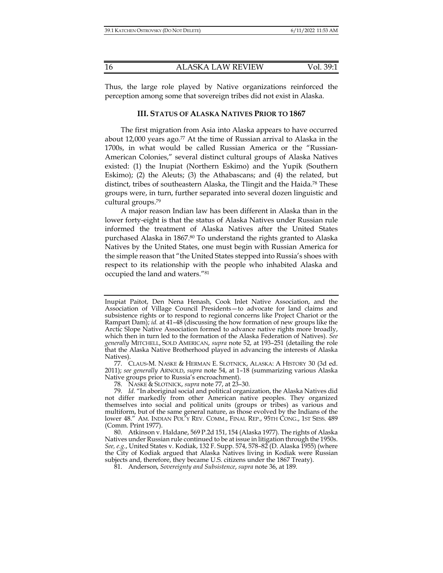Thus, the large role played by Native organizations reinforced the perception among some that sovereign tribes did not exist in Alaska.

## **III. STATUS OF ALASKA NATIVES PRIOR TO 1867**

The first migration from Asia into Alaska appears to have occurred about 12,000 years ago.77 At the time of Russian arrival to Alaska in the 1700s, in what would be called Russian America or the "Russian-American Colonies," several distinct cultural groups of Alaska Natives existed: (1) the Inupiat (Northern Eskimo) and the Yupik (Southern Eskimo); (2) the Aleuts; (3) the Athabascans; and (4) the related, but distinct, tribes of southeastern Alaska, the Tlingit and the Haida.78 These groups were, in turn, further separated into several dozen linguistic and cultural groups.79

A major reason Indian law has been different in Alaska than in the lower forty-eight is that the status of Alaska Natives under Russian rule informed the treatment of Alaska Natives after the United States purchased Alaska in 1867.80 To understand the rights granted to Alaska Natives by the United States, one must begin with Russian America for the simple reason that "the United States stepped into Russia's shoes with respect to its relationship with the people who inhabited Alaska and occupied the land and waters."81

Inupiat Paitot, Den Nena Henash, Cook Inlet Native Association, and the Association of Village Council Presidents—to advocate for land claims and subsistence rights or to respond to regional concerns like Project Chariot or the Rampart Dam); *id.* at 41–48 (discussing the how formation of new groups like the Arctic Slope Native Association formed to advance native rights more broadly, which then in turn led to the formation of the Alaska Federation of Natives). *See generally* MITCHELL, SOLD AMERICAN, *supra* note 52, at 193–251 (detailing the role that the Alaska Native Brotherhood played in advancing the interests of Alaska Natives).

 <sup>77.</sup> CLAUS-M. NASKE & HERMAN E. SLOTNICK, ALASKA: A HISTORY 30 (3d ed. 2011); *see generally* ARNOLD, *supra* note 54, at 1–18 (summarizing various Alaska Native groups prior to Russia's encroachment).

 <sup>78.</sup> NASKE & SLOTNICK, *supra* note 77, at 23–30.

 <sup>79.</sup> *Id.* "In aboriginal social and political organization, the Alaska Natives did not differ markedly from other American native peoples. They organized themselves into social and political units (groups or tribes) as various and multiform, but of the same general nature, as those evolved by the Indians of the lower 48." AM. INDIAN POL'Y REV. COMM., FINAL REP., 95TH CONG., 1ST SESS. 489 (Comm. Print 1977).

 <sup>80.</sup> Atkinson v. Haldane, 569 P.2d 151, 154 (Alaska 1977). The rights of Alaska Natives under Russian rule continued to be at issue in litigation through the 1950s. *See, e.g.*, United States v. Kodiak, 132 F. Supp. 574, 578–82 (D. Alaska 1955) (where the City of Kodiak argued that Alaska Natives living in Kodiak were Russian subjects and, therefore, they became U.S. citizens under the 1867 Treaty).

 <sup>81.</sup> Anderson, *Sovereignty and Subsistence*, *supra* note 36, at 189.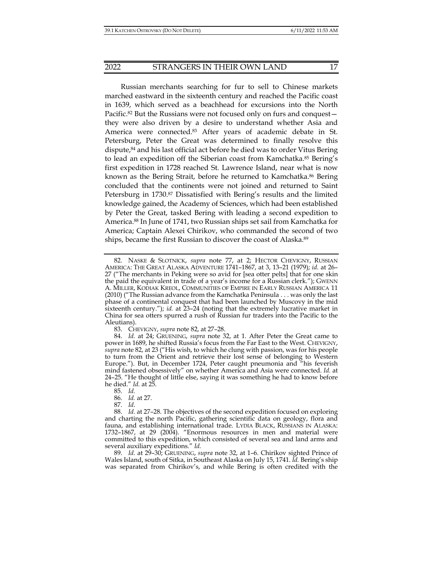Russian merchants searching for fur to sell to Chinese markets marched eastward in the sixteenth century and reached the Pacific coast in 1639, which served as a beachhead for excursions into the North Pacific.82 But the Russians were not focused only on furs and conquest they were also driven by a desire to understand whether Asia and America were connected.<sup>83</sup> After years of academic debate in St. Petersburg, Peter the Great was determined to finally resolve this dispute,<sup>84</sup> and his last official act before he died was to order Vitus Bering to lead an expedition off the Siberian coast from Kamchatka.85 Bering's first expedition in 1728 reached St. Lawrence Island, near what is now known as the Bering Strait, before he returned to Kamchatka.<sup>86</sup> Bering concluded that the continents were not joined and returned to Saint Petersburg in 1730.87 Dissatisfied with Bering's results and the limited knowledge gained, the Academy of Sciences, which had been established by Peter the Great, tasked Bering with leading a second expedition to America.88 In June of 1741, two Russian ships set sail from Kamchatka for America; Captain Alexei Chirikov, who commanded the second of two ships, became the first Russian to discover the coast of Alaska.<sup>89</sup>

83. CHEVIGNY, *supra* note 82, at 27–28.

 89. *Id.* at 29–30; GRUENING, *supra* note 32, at 1–6. Chirikov sighted Prince of Wales Island, south of Sitka, in Southeast Alaska on July 15, 1741. *Id.* Bering's ship was separated from Chirikov's, and while Bering is often credited with the

 <sup>82.</sup> NASKE & SLOTNICK, *supra* note 77, at 2; HECTOR CHEVIGNY, RUSSIAN AMERICA: THE GREAT ALASKA ADVENTURE 1741–1867, at 3, 13–21 (1979); *id.* at 26– 27 ("The merchants in Peking were so avid for [sea otter pelts] that for one skin the paid the equivalent in trade of a year's income for a Russian clerk."); GWENN A. MILLER, KODIAK KREOL, COMMUNITIES OF EMPIRE IN EARLY RUSSIAN AMERICA 11 (2010) ("The Russian advance from the Kamchatka Peninsula . . . was only the last phase of a continental conquest that had been launched by Muscovy in the mid sixteenth century."); *id.* at 23–24 (noting that the extremely lucrative market in China for sea otters spurred a rush of Russian fur traders into the Pacific to the Aleutians).

 <sup>84.</sup> *Id.* at 24; GRUENING, *supra* note 32, at 1. After Peter the Great came to power in 1689, he shifted Russia's focus from the Far East to the West. CHEVIGNY, *supra* note 82, at 23 ("His wish, to which he clung with passion, was for his people to turn from the Orient and retrieve their lost sense of belonging to Western Europe."). But, in December 1724, Peter caught pneumonia and "his feverish mind fastened obsessively" on whether America and Asia were connected. *Id.* at 24–25. "He thought of little else, saying it was something he had to know before he died." *Id.* at 25.

 <sup>85.</sup> *Id.*

 <sup>86.</sup> *Id.* at 27.

 <sup>87.</sup> *Id*.

 <sup>88.</sup> *Id.* at 27–28. The objectives of the second expedition focused on exploring and charting the north Pacific, gathering scientific data on geology, flora and fauna, and establishing international trade. LYDIA BLACK, RUSSIANS IN ALASKA: 1732–1867, at 29 (2004). "Enormous resources in men and material were committed to this expedition, which consisted of several sea and land arms and several auxiliary expeditions." *Id.*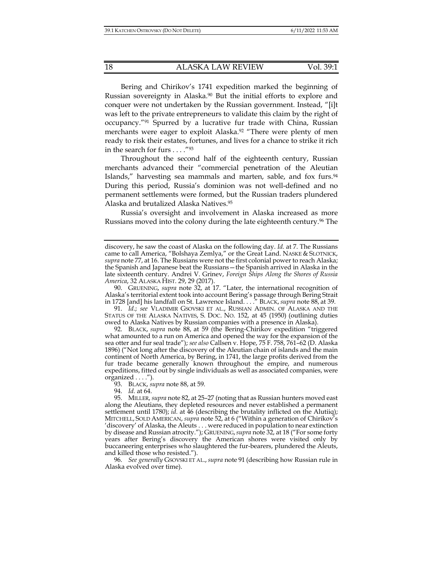Bering and Chirikov's 1741 expedition marked the beginning of Russian sovereignty in Alaska.90 But the initial efforts to explore and conquer were not undertaken by the Russian government. Instead, "[i]t was left to the private entrepreneurs to validate this claim by the right of occupancy."91 Spurred by a lucrative fur trade with China, Russian merchants were eager to exploit Alaska.92 "There were plenty of men ready to risk their estates, fortunes, and lives for a chance to strike it rich in the search for furs  $\dots$ ."93

Throughout the second half of the eighteenth century, Russian merchants advanced their "commercial penetration of the Aleutian Islands," harvesting sea mammals and marten, sable, and fox furs.<sup>94</sup> During this period, Russia's dominion was not well-defined and no permanent settlements were formed, but the Russian traders plundered Alaska and brutalized Alaska Natives.95

Russia's oversight and involvement in Alaska increased as more Russians moved into the colony during the late eighteenth century.96 The

 96. *See generally* GSOVSKI ET AL., *supra* note 91 (describing how Russian rule in Alaska evolved over time).

discovery, he saw the coast of Alaska on the following day. *Id.* at 7. The Russians came to call America, "Bolshaya Zemlya," or the Great Land. NASKE & SLOTNICK, *supra* note 77, at 16. The Russians were not the first colonial power to reach Alaska; the Spanish and Japanese beat the Russians—the Spanish arrived in Alaska in the late sixteenth century. Andrei V. Grinev, *Foreign Ships Along the Shores of Russia America*, 32 ALASKA HIST. 29, 29 (2017).

 <sup>90.</sup> GRUENING, *supra* note 32, at 17. "Later, the international recognition of Alaska's territorial extent took into account Bering's passage through Bering Strait in 1728 [and] his landfall on St. Lawrence Island. . . ." BLACK, *supra* note 88, at 39.

 <sup>91.</sup> *Id.*; *see* VLADIMIR GSOVSKI ET AL., RUSSIAN ADMIN. OF ALASKA AND THE STATUS OF THE ALASKA NATIVES, S. DOC. NO. 152, at 45 (1950) (outlining duties owed to Alaska Natives by Russian companies with a presence in Alaska).

 <sup>92.</sup> BLACK, *supra* note 88, at 59 (the Bering-Chirikov expedition "triggered what amounted to a run on America and opened the way for the expansion of the sea otter and fur seal trade"); *see also* Callsen v. Hope, 75 F. 758, 761–62 (D. Alaska 1896) ("Not long after the discovery of the Aleutian chain of islands and the main continent of North America, by Bering, in 1741, the large profits derived from the fur trade became generally known throughout the empire, and numerous expeditions, fitted out by single individuals as well as associated companies, were organized . . . .").

 <sup>93.</sup> BLACK, *supra* note 88, at 59.

 <sup>94.</sup> *Id.* at 64.

 <sup>95.</sup> MILLER, *supra* note 82, at 25–27 (noting that as Russian hunters moved east along the Aleutians, they depleted resources and never established a permanent settlement until 1780); *id.* at 46 (describing the brutality inflicted on the Alutiiq); MITCHELL, SOLD AMERICAN, *supra* note 52, at 6 ("Within a generation of Chirikov's 'discovery' of Alaska, the Aleuts . . . were reduced in population to near extinction by disease and Russian atrocity."); GRUENING,*supra* note 32, at 18 ("For some forty years after Bering's discovery the American shores were visited only by buccaneering enterprises who slaughtered the fur-bearers, plundered the Aleuts, and killed those who resisted.").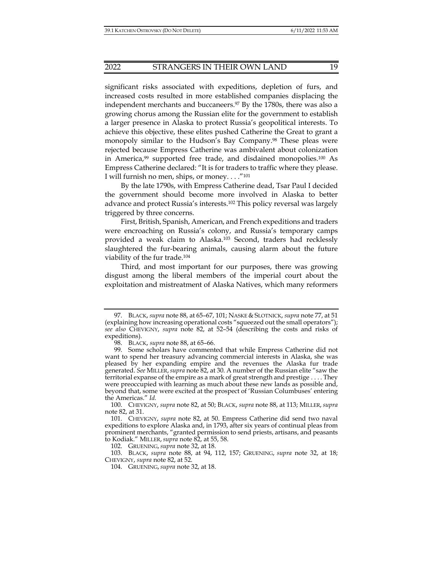significant risks associated with expeditions, depletion of furs, and increased costs resulted in more established companies displacing the independent merchants and buccaneers.<sup>97</sup> By the 1780s, there was also a growing chorus among the Russian elite for the government to establish a larger presence in Alaska to protect Russia's geopolitical interests. To achieve this objective, these elites pushed Catherine the Great to grant a monopoly similar to the Hudson's Bay Company.98 These pleas were rejected because Empress Catherine was ambivalent about colonization in America,<sup>99</sup> supported free trade, and disdained monopolies.<sup>100</sup> As Empress Catherine declared: "It is for traders to traffic where they please. I will furnish no men, ships, or money. . . ."101

By the late 1790s, with Empress Catherine dead, Tsar Paul I decided the government should become more involved in Alaska to better advance and protect Russia's interests.102 This policy reversal was largely triggered by three concerns.

First, British, Spanish, American, and French expeditions and traders were encroaching on Russia's colony, and Russia's temporary camps provided a weak claim to Alaska.103 Second, traders had recklessly slaughtered the fur-bearing animals, causing alarm about the future viability of the fur trade.104

Third*,* and most important for our purposes, there was growing disgust among the liberal members of the imperial court about the exploitation and mistreatment of Alaska Natives, which many reformers

 <sup>97.</sup> BLACK, *supra* note 88, at 65–67, 101; NASKE & SLOTNICK, *supra* note 77, at 51 (explaining how increasing operational costs "squeezed out the small operators"); *see also* CHEVIGNY, *supra* note 82, at 52–54 (describing the costs and risks of expeditions).

 <sup>98.</sup> BLACK, *supra* note 88, at 65–66.

 <sup>99.</sup> Some scholars have commented that while Empress Catherine did not want to spend her treasury advancing commercial interests in Alaska, she was pleased by her expanding empire and the revenues the Alaska fur trade generated. *See* MILLER,*supra* note 82, at 30. A number of the Russian elite "saw the territorial expanse of the empire as a mark of great strength and prestige . . . . They were preoccupied with learning as much about these new lands as possible and, beyond that, some were excited at the prospect of 'Russian Columbuses' entering the Americas." *Id.*

 <sup>100.</sup> CHEVIGNY, *supra* note 82, at 50; BLACK, *supra* note 88, at 113; MILLER, *supra* note 82, at 31.

 <sup>101.</sup> CHEVIGNY, *supra* note 82, at 50. Empress Catherine did send two naval expeditions to explore Alaska and, in 1793, after six years of continual pleas from prominent merchants, "granted permission to send priests, artisans, and peasants to Kodiak." MILLER, *supra* note 82, at 55, 58.

 <sup>102.</sup> GRUENING, *supra* note 32, at 18.

 <sup>103.</sup> BLACK, *supra* note 88, at 94, 112, 157; GRUENING, *supra* note 32, at 18; CHEVIGNY, *supra* note 82, at 52.

 <sup>104.</sup> GRUENING, *supra* note 32, at 18.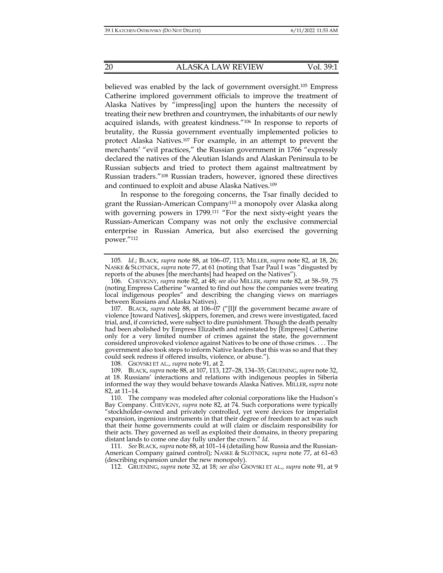believed was enabled by the lack of government oversight.105 Empress Catherine implored government officials to improve the treatment of Alaska Natives by "impress[ing] upon the hunters the necessity of treating their new brethren and countrymen, the inhabitants of our newly acquired islands, with greatest kindness."106 In response to reports of brutality, the Russia government eventually implemented policies to protect Alaska Natives.107 For example, in an attempt to prevent the merchants' "evil practices," the Russian government in 1766 "expressly declared the natives of the Aleutian Islands and Alaskan Peninsula to be Russian subjects and tried to protect them against maltreatment by Russian traders."108 Russian traders, however, ignored these directives and continued to exploit and abuse Alaska Natives.109

In response to the foregoing concerns, the Tsar finally decided to grant the Russian-American Company110 a monopoly over Alaska along with governing powers in 1799.<sup>111</sup> "For the next sixty-eight years the Russian-American Company was not only the exclusive commercial enterprise in Russian America, but also exercised the governing power."112

 107. BLACK, *supra* note 88, at 106–07 ("[I]f the government became aware of violence [toward Natives], skippers, foremen, and crews were investigated, faced trial, and, if convicted, were subject to dire punishment. Though the death penalty had been abolished by Empress Elizabeth and reinstated by [Empress] Catherine only for a very limited number of crimes against the state, the government considered unprovoked violence against Natives to be one of those crimes. . . . The government also took steps to inform Native leaders that this was so and that they could seek redress if offered insults, violence, or abuse.").

108. GSOVSKI ET AL., *supra* note 91, at 2.

 109. BLACK, *supra* note 88, at 107, 113, 127–28, 134–35; GRUENING,*supra* note 32, at 18. Russians' interactions and relations with indigenous peoples in Siberia informed the way they would behave towards Alaska Natives. MILLER,*supra* note 82, at 11–14.

 110. The company was modeled after colonial corporations like the Hudson's Bay Company. CHEVIGNY, *supra* note 82, at 74. Such corporations were typically "stockholder-owned and privately controlled, yet were devices for imperialist expansion, ingenious instruments in that their degree of freedom to act was such that their home governments could at will claim or disclaim responsibility for their acts. They governed as well as exploited their domains, in theory preparing distant lands to come one day fully under the crown." *Id*.

 111. *See* BLACK, *supra* note 88, at 101–14 (detailing how Russia and the Russian-American Company gained control); NASKE & SLOTNICK, *supra* note 77, at 61–63 (describing expansion under the new monopoly).

112. GRUENING, *supra* note 32, at 18; *see also* GSOVSKI ET AL., *supra* note 91, at 9

<sup>105</sup>*. Id.*; BLACK, *supra* note 88, at 106–07, 113; MILLER, *supra* note 82, at 18, 26; NASKE & SLOTNICK, *supra* note 77, at 61 (noting that Tsar Paul I was "disgusted by reports of the abuses [the merchants] had heaped on the Natives").

 <sup>106.</sup> CHEVIGNY, *supra* note 82, at 48; *see also* MILLER, *supra* note 82, at 58–59, 75 (noting Empress Catherine "wanted to find out how the companies were treating local indigenous peoples" and describing the changing views on marriages between Russians and Alaska Natives).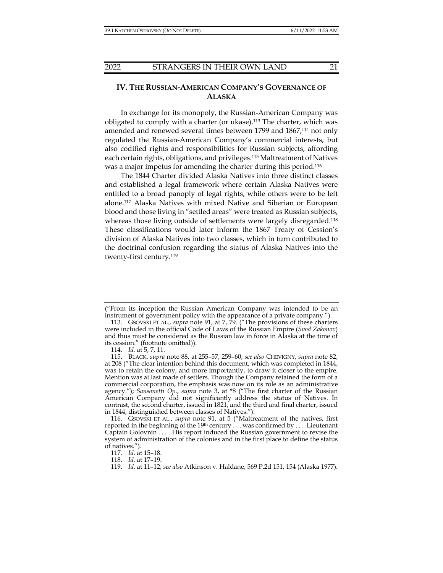## **IV. THE RUSSIAN-AMERICAN COMPANY'S GOVERNANCE OF ALASKA**

In exchange for its monopoly, the Russian-American Company was obligated to comply with a charter (or ukase).113 The charter, which was amended and renewed several times between 1799 and 1867,114 not only regulated the Russian-American Company's commercial interests, but also codified rights and responsibilities for Russian subjects, affording each certain rights, obligations, and privileges.115 Maltreatment of Natives was a major impetus for amending the charter during this period.116

The 1844 Charter divided Alaska Natives into three distinct classes and established a legal framework where certain Alaska Natives were entitled to a broad panoply of legal rights, while others were to be left alone.117 Alaska Natives with mixed Native and Siberian or European blood and those living in "settled areas" were treated as Russian subjects, whereas those living outside of settlements were largely disregarded.<sup>118</sup> These classifications would later inform the 1867 Treaty of Cession's division of Alaska Natives into two classes, which in turn contributed to the doctrinal confusion regarding the status of Alaska Natives into the twenty-first century.119

<sup>(&</sup>quot;From its inception the Russian American Company was intended to be an instrument of government policy with the appearance of a private company.").

 <sup>113.</sup> GSOVSKI ET AL., *supra* note 91, at 7, 79. ("The provisions of these charters were included in the official Code of Laws of the Russian Empire (*Svod Zakonov*) and thus must be considered as the Russian law in force in Alaska at the time of its cession." (footnote omitted)).

 <sup>114.</sup> *Id.* at 5, 7, 11.

 <sup>115.</sup> BLACK, *supra* note 88, at 255–57, 259–60; *see also* CHEVIGNY, *supra* note 82, at 208 ("The clear intention behind this document, which was completed in 1844, was to retain the colony, and more importantly, to draw it closer to the empire. Mention was at last made of settlers. Though the Company retained the form of a commercial corporation, the emphasis was now on its role as an administrative agency."); *Sansonetti Op*., *supra* note 3, at \*8 ("The first charter of the Russian American Company did not significantly address the status of Natives. In contrast, the second charter, issued in 1821, and the third and final charter, issued in 1844, distinguished between classes of Natives.").

 <sup>116.</sup> GSOVSKI ET AL., *supra* note 91, at 5 ("Maltreatment of the natives, first reported in the beginning of the 19th century . . . was confirmed by . . . Lieutenant Captain Golovnin . . . . His report induced the Russian government to revise the system of administration of the colonies and in the first place to define the status of natives.").

 <sup>117.</sup> *Id.* at 15–18.

 <sup>118.</sup> *Id.* at 17–19.

 <sup>119.</sup> *Id.* at 11–12; *see also* Atkinson v. Haldane, 569 P.2d 151, 154 (Alaska 1977).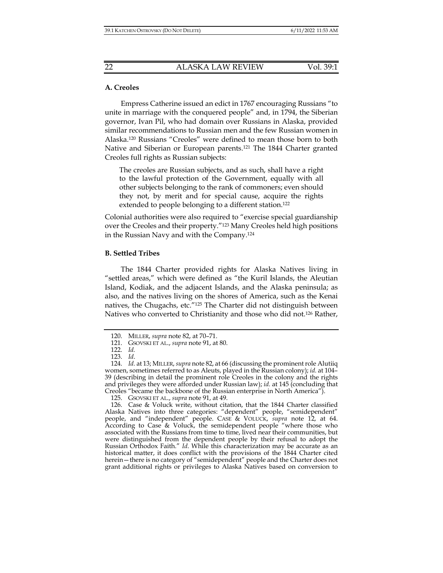## **A. Creoles**

Empress Catherine issued an edict in 1767 encouraging Russians "to unite in marriage with the conquered people" and, in 1794, the Siberian governor, Ivan Pil, who had domain over Russians in Alaska, provided similar recommendations to Russian men and the few Russian women in Alaska.120 Russians "Creoles" were defined to mean those born to both Native and Siberian or European parents.<sup>121</sup> The 1844 Charter granted Creoles full rights as Russian subjects:

The creoles are Russian subjects, and as such, shall have a right to the lawful protection of the Government, equally with all other subjects belonging to the rank of commoners; even should they not, by merit and for special cause, acquire the rights extended to people belonging to a different station.<sup>122</sup>

Colonial authorities were also required to "exercise special guardianship over the Creoles and their property."123 Many Creoles held high positions in the Russian Navy and with the Company.124

## **B. Settled Tribes**

The 1844 Charter provided rights for Alaska Natives living in "settled areas," which were defined as "the Kuril Islands, the Aleutian Island, Kodiak, and the adjacent Islands, and the Alaska peninsula; as also, and the natives living on the shores of America, such as the Kenai natives, the Chugachs, etc."125 The Charter did not distinguish between Natives who converted to Christianity and those who did not.126 Rather,

 <sup>120.</sup> MILLER, *supra* note 82, at 70–71.

 <sup>121.</sup> GSOVSKI ET AL., *supra* note 91, at 80.

 <sup>122.</sup> *Id.* 

 <sup>123.</sup> *Id*.

 <sup>124.</sup> *Id.* at 13; MILLER, *supra* note 82, at 66 (discussing the prominent role Alutiiq women, sometimes referred to as Aleuts, played in the Russian colony); *id.* at 104– 39 (describing in detail the prominent role Creoles in the colony and the rights and privileges they were afforded under Russian law); *id.* at 145 (concluding that Creoles "became the backbone of the Russian enterprise in North America").

 <sup>125.</sup> GSOVSKI ET AL., *supra* note 91, at 49.

 <sup>126.</sup> Case & Voluck write, without citation, that the 1844 Charter classified Alaska Natives into three categories: "dependent" people, "semidependent" people, and "independent" people. CASE & VOLUCK, *supra* note 12, at 64. According to Case & Voluck, the semidependent people "where those who associated with the Russians from time to time, lived near their communities, but were distinguished from the dependent people by their refusal to adopt the Russian Orthodox Faith." *Id*. While this characterization may be accurate as an historical matter, it does conflict with the provisions of the 1844 Charter cited herein – there is no category of "semidependent" people and the Charter does not grant additional rights or privileges to Alaska Natives based on conversion to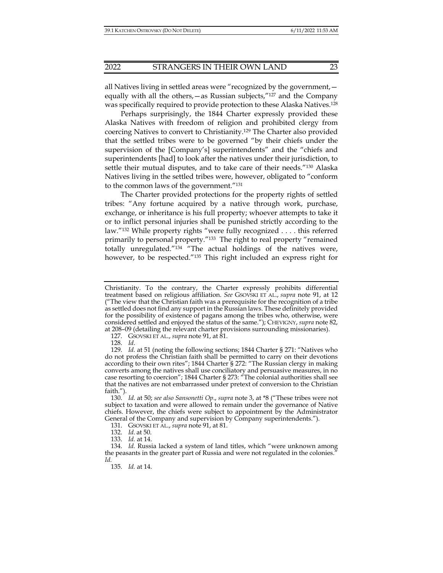all Natives living in settled areas were "recognized by the government, equally with all the others,  $-\text{as Russian subjects}$ ,  $\frac{127}{27}$  and the Company was specifically required to provide protection to these Alaska Natives.<sup>128</sup>

Perhaps surprisingly, the 1844 Charter expressly provided these Alaska Natives with freedom of religion and prohibited clergy from coercing Natives to convert to Christianity.129 The Charter also provided that the settled tribes were to be governed "by their chiefs under the supervision of the [Company's] superintendents" and the "chiefs and superintendents [had] to look after the natives under their jurisdiction, to settle their mutual disputes, and to take care of their needs."130 Alaska Natives living in the settled tribes were, however, obligated to "conform to the common laws of the government."131

The Charter provided protections for the property rights of settled tribes: "Any fortune acquired by a native through work, purchase, exchange, or inheritance is his full property; whoever attempts to take it or to inflict personal injuries shall be punished strictly according to the law."132 While property rights "were fully recognized . . . . this referred primarily to personal property."133 The right to real property "remained totally unregulated."134 "The actual holdings of the natives were, however, to be respected."135 This right included an express right for

Christianity. To the contrary, the Charter expressly prohibits differential treatment based on religious affiliation. *See* GSOVSKI ET AL., *supra* note 91, at 12 ("The view that the Christian faith was a prerequisite for the recognition of a tribe as settled does not find any support in the Russian laws. These definitely provided for the possibility of existence of pagans among the tribes who, otherwise, were considered settled and enjoyed the status of the same."); CHEVIGNY, *supra* note 82, at 208–09 (detailing the relevant charter provisions surrounding missionaries).

 <sup>127.</sup> GSOVSKI ET AL., *supra* note 91, at 81.

 <sup>128.</sup> *Id*.

 <sup>129.</sup> *Id.* at 51 (noting the following sections; 1844 Charter § 271: "Natives who do not profess the Christian faith shall be permitted to carry on their devotions according to their own rites"; 1844 Charter § 272: "The Russian clergy in making converts among the natives shall use conciliatory and persuasive measures, in no case resorting to coercion"; 1844 Charter § 273: "The colonial authorities shall see that the natives are not embarrassed under pretext of conversion to the Christian faith.").

 <sup>130.</sup> *Id.* at 50; *see also Sansonetti Op*., *supra* note 3, at \*8 ("These tribes were not subject to taxation and were allowed to remain under the governance of Native chiefs. However, the chiefs were subject to appointment by the Administrator General of the Company and supervision by Company superintendents.").

 <sup>131.</sup> GSOVSKI ET AL., *supra* note 91, at 81.

 <sup>132.</sup> *Id.* at 50.

 <sup>133.</sup> *Id.* at 14.

 <sup>134.</sup> *Id.* Russia lacked a system of land titles, which "were unknown among the peasants in the greater part of Russia and were not regulated in the colonies." *Id.* 

 <sup>135.</sup> *Id.* at 14.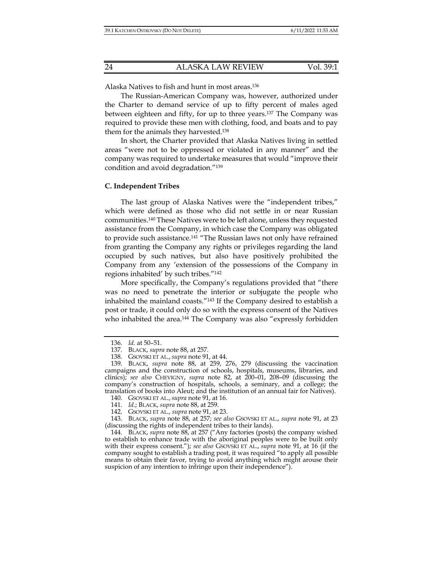Alaska Natives to fish and hunt in most areas.136

The Russian-American Company was, however, authorized under the Charter to demand service of up to fifty percent of males aged between eighteen and fifty, for up to three years.137 The Company was required to provide these men with clothing, food, and boats and to pay them for the animals they harvested.138

In short, the Charter provided that Alaska Natives living in settled areas "were not to be oppressed or violated in any manner" and the company was required to undertake measures that would "improve their condition and avoid degradation."139

#### **C. Independent Tribes**

The last group of Alaska Natives were the "independent tribes," which were defined as those who did not settle in or near Russian communities.140 These Natives were to be left alone, unless they requested assistance from the Company, in which case the Company was obligated to provide such assistance.141 "The Russian laws not only have refrained from granting the Company any rights or privileges regarding the land occupied by such natives, but also have positively prohibited the Company from any 'extension of the possessions of the Company in regions inhabited' by such tribes."142

More specifically, the Company's regulations provided that "there was no need to penetrate the interior or subjugate the people who inhabited the mainland coasts."143 If the Company desired to establish a post or trade, it could only do so with the express consent of the Natives who inhabited the area.<sup>144</sup> The Company was also "expressly forbidden

 144. BLACK, *supra* note 88, at 257 ("Any factories (posts) the company wished to establish to enhance trade with the aboriginal peoples were to be built only with their express consent."); *see also* GSOVSKI ET AL., *supra* note 91, at 16 (if the company sought to establish a trading post, it was required "to apply all possible means to obtain their favor, trying to avoid anything which might arouse their suspicion of any intention to infringe upon their independence").

 <sup>136.</sup> *Id.* at 50–51.

 <sup>137.</sup> BLACK, *supra* note 88, at 257.

 <sup>138.</sup> GSOVSKI ET AL., *supra* note 91, at 44.

 <sup>139.</sup> BLACK, *supra* note 88, at 259, 276, 279 (discussing the vaccination campaigns and the construction of schools, hospitals, museums, libraries, and clinics); *see also* CHEVIGNY, *supra* note 82, at 200–01, 208–09 (discussing the company's construction of hospitals, schools, a seminary, and a college; the translation of books into Aleut; and the institution of an annual fair for Natives).

 <sup>140.</sup> GSOVSKI ET AL., *supra* note 91, at 16.

 <sup>141.</sup> *Id.*; BLACK, *supra* note 88, at 259.

 <sup>142.</sup> GSOVSKI ET AL., *supra* note 91, at 23.

 <sup>143.</sup> BLACK, *supra* note 88, at 257; *see also* GSOVSKI ET AL., *supra* note 91, at 23 (discussing the rights of independent tribes to their lands).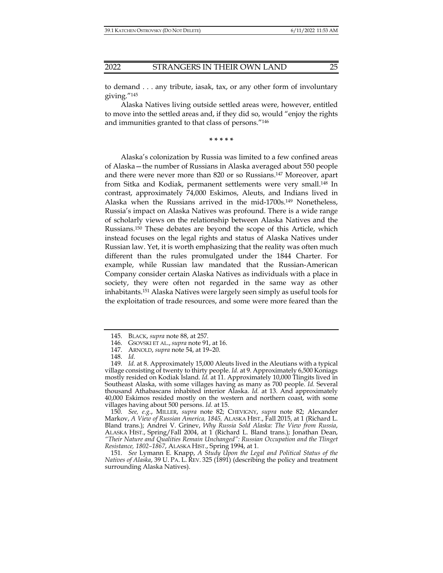to demand . . . any tribute, iasak, tax, or any other form of involuntary giving."145

Alaska Natives living outside settled areas were, however, entitled to move into the settled areas and, if they did so, would "enjoy the rights and immunities granted to that class of persons."146

**\* \* \* \* \*** 

Alaska's colonization by Russia was limited to a few confined areas of Alaska—the number of Russians in Alaska averaged about 550 people and there were never more than 820 or so Russians.147 Moreover, apart from Sitka and Kodiak, permanent settlements were very small.148 In contrast, approximately 74,000 Eskimos, Aleuts, and Indians lived in Alaska when the Russians arrived in the mid-1700s.149 Nonetheless, Russia's impact on Alaska Natives was profound. There is a wide range of scholarly views on the relationship between Alaska Natives and the Russians.150 These debates are beyond the scope of this Article, which instead focuses on the legal rights and status of Alaska Natives under Russian law. Yet, it is worth emphasizing that the reality was often much different than the rules promulgated under the 1844 Charter. For example, while Russian law mandated that the Russian-American Company consider certain Alaska Natives as individuals with a place in society, they were often not regarded in the same way as other inhabitants.151 Alaska Natives were largely seen simply as useful tools for the exploitation of trade resources, and some were more feared than the

 150. *See, e.g.*, MILLER, *supra* note 82; CHEVIGNY, *supra* note 82; Alexander Markov, *A View of Russian America, 1845,* ALASKA HIST., Fall 2015, at 1 (Richard L. Bland trans.); Andrei V. Grinev, *Why Russia Sold Alaska: The View from Russia*, ALASKA HIST., Spring/Fall 2004, at 1 (Richard L. Bland trans.); Jonathan Dean, *"Their Nature and Qualities Remain Unchanged": Russian Occupation and the Tlinget Resistance, 1802–1867*, ALASKA HIST., Spring 1994, at 1.

 <sup>145.</sup> BLACK, *supra* note 88, at 257.

 <sup>146.</sup> GSOVSKI ET AL., *supra* note 91, at 16.

 <sup>147.</sup> ARNOLD, *supra* note 54, at 19–20.

 <sup>148.</sup> *Id.*

 <sup>149.</sup> *Id.* at 8. Approximately 15,000 Aleuts lived in the Aleutians with a typical village consisting of twenty to thirty people. *Id.* at 9. Approximately 6,500 Koniags mostly resided on Kodiak Island. *Id.* at 11. Approximately 10,000 Tlingits lived in Southeast Alaska, with some villages having as many as 700 people. *Id.* Several thousand Athabascans inhabited interior Alaska. *Id.* at 13. And approximately 40,000 Eskimos resided mostly on the western and northern coast, with some villages having about 500 persons. *Id.* at 15.

 <sup>151.</sup> *See* Lymann E. Knapp, *A Study Upon the Legal and Political Status of the Natives of Alaska,* 39 U. PA. L. REV. 325 (1891) (describing the policy and treatment surrounding Alaska Natives).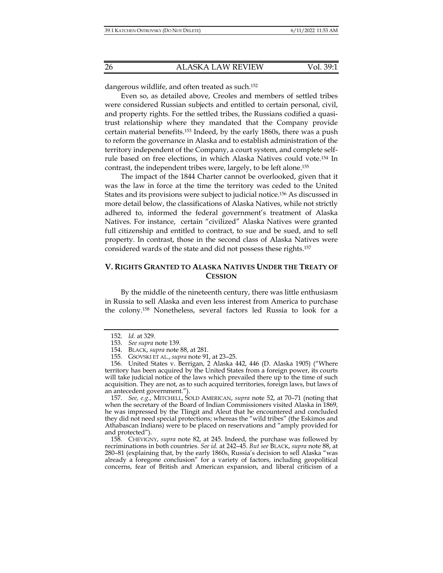dangerous wildlife, and often treated as such.152

Even so, as detailed above, Creoles and members of settled tribes were considered Russian subjects and entitled to certain personal, civil, and property rights. For the settled tribes, the Russians codified a quasitrust relationship where they mandated that the Company provide certain material benefits.153 Indeed, by the early 1860s, there was a push to reform the governance in Alaska and to establish administration of the territory independent of the Company, a court system, and complete selfrule based on free elections, in which Alaska Natives could vote.154 In contrast, the independent tribes were, largely, to be left alone.155

The impact of the 1844 Charter cannot be overlooked, given that it was the law in force at the time the territory was ceded to the United States and its provisions were subject to judicial notice.156 As discussed in more detail below, the classifications of Alaska Natives, while not strictly adhered to, informed the federal government's treatment of Alaska Natives. For instance, certain "civilized" Alaska Natives were granted full citizenship and entitled to contract, to sue and be sued, and to sell property. In contrast, those in the second class of Alaska Natives were considered wards of the state and did not possess these rights.157

## **V. RIGHTS GRANTED TO ALASKA NATIVES UNDER THE TREATY OF CESSION**

By the middle of the nineteenth century, there was little enthusiasm in Russia to sell Alaska and even less interest from America to purchase the colony.158 Nonetheless, several factors led Russia to look for a

 157. *See, e.g.*, MITCHELL, SOLD AMERICAN, *supra* note 52, at 70–71 (noting that when the secretary of the Board of Indian Commissioners visited Alaska in 1869, he was impressed by the Tlingit and Aleut that he encountered and concluded they did not need special protections; whereas the "wild tribes" (the Eskimos and Athabascan Indians) were to be placed on reservations and "amply provided for and protected").

 158. CHEVIGNY, *supra* note 82, at 245. Indeed, the purchase was followed by recriminations in both countries. *See id.* at 242–45. *But see* BLACK, *supra* note 88, at 280–81 (explaining that, by the early 1860s, Russia's decision to sell Alaska "was already a foregone conclusion" for a variety of factors, including geopolitical concerns, fear of British and American expansion, and liberal criticism of a

 <sup>152.</sup> *Id.* at 329.

 <sup>153.</sup> *See supra* note 139.

 <sup>154.</sup> BLACK, *supra* note 88, at 281.

 <sup>155.</sup> GSOVSKI ET AL., *supra* note 91, at 23–25.

 <sup>156.</sup> United States v. Berrigan, 2 Alaska 442, 446 (D. Alaska 1905) ("Where territory has been acquired by the United States from a foreign power, its courts will take judicial notice of the laws which prevailed there up to the time of such acquisition. They are not, as to such acquired territories, foreign laws, but laws of an antecedent government.").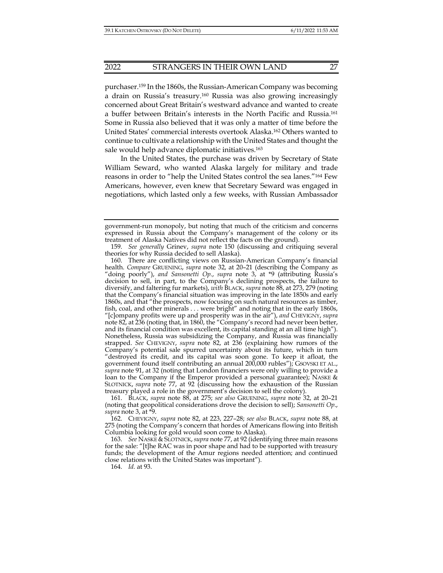purchaser.159 In the 1860s, the Russian-American Company was becoming a drain on Russia's treasury.160 Russia was also growing increasingly concerned about Great Britain's westward advance and wanted to create a buffer between Britain's interests in the North Pacific and Russia.161 Some in Russia also believed that it was only a matter of time before the United States' commercial interests overtook Alaska.162 Others wanted to continue to cultivate a relationship with the United States and thought the sale would help advance diplomatic initiatives.163

In the United States, the purchase was driven by Secretary of State William Seward, who wanted Alaska largely for military and trade reasons in order to "help the United States control the sea lanes."164 Few Americans, however, even knew that Secretary Seward was engaged in negotiations, which lasted only a few weeks, with Russian Ambassador

 161. BLACK, *supra* note 88, at 275; *see also* GRUENING, *supra* note 32, at 20–21 (noting that geopolitical considerations drove the decision to sell); *Sansonetti Op*., *supra* note 3, at \*9.

 162. CHEVIGNY, *supra* note 82, at 223, 227–28; *see also* BLACK, *supra* note 88, at 275 (noting the Company's concern that hordes of Americans flowing into British Columbia looking for gold would soon come to Alaska).

 163. *See* NASKE & SLOTNICK,*supra* note 77, at 92 (identifying three main reasons for the sale: "[t]he RAC was in poor shape and had to be supported with treasury funds; the development of the Amur regions needed attention; and continued close relations with the United States was important").

164. *Id.* at 93.

government-run monopoly, but noting that much of the criticism and concerns expressed in Russia about the Company's management of the colony or its treatment of Alaska Natives did not reflect the facts on the ground).

 <sup>159.</sup> *See generally* Grinev, *supra* note 150 (discussing and critiquing several theories for why Russia decided to sell Alaska).

 <sup>160.</sup> There are conflicting views on Russian-American Company's financial health. *Compare* GRUENING, *supra* note 32, at 20–21 (describing the Company as "doing poorly"), *and Sansonetti Op.*, *supra* note 3, at \*9 (attributing Russia's decision to sell, in part, to the Company's declining prospects, the failure to diversify, and faltering fur markets), *with* BLACK, *supra* note 88, at 273, 279 (noting that the Company's financial situation was improving in the late 1850s and early 1860s, and that "the prospects, now focusing on such natural resources as timber, fish, coal, and other minerals . . . were bright" and noting that in the early 1860s, "[c]ompany profits were up and prosperity was in the air"), *and* CHEVIGNY, *supra*  note 82, at 236 (noting that, in 1860, the "Company's record had never been better, and its financial condition was excellent, its capital standing at an all time high"). Nonetheless, Russia was subsidizing the Company, and Russia was financially strapped. *See* CHEVIGNY, *supra* note 82, at 236 (explaining how rumors of the Company's potential sale spurred uncertainty about its future, which in turn "destroyed its credit, and its capital was soon gone. To keep it afloat, the government found itself contributing an annual 200,000 rubles"); GSOVSKI ET AL., *supra* note 91, at 32 (noting that London financiers were only willing to provide a loan to the Company if the Emperor provided a personal guarantee); NASKE & SLOTNICK, *supra* note 77, at 92 (discussing how the exhaustion of the Russian treasury played a role in the government's decision to sell the colony).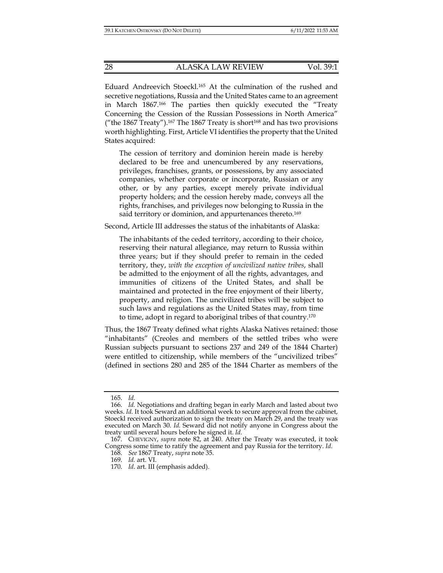Eduard Andreevich Stoeckl.165 At the culmination of the rushed and secretive negotiations, Russia and the United States came to an agreement in March 1867.166 The parties then quickly executed the "Treaty Concerning the Cession of the Russian Possessions in North America" ("the 1867 Treaty").<sup>167</sup> The 1867 Treaty is short<sup>168</sup> and has two provisions worth highlighting. First, Article VI identifies the property that the United States acquired:

The cession of territory and dominion herein made is hereby declared to be free and unencumbered by any reservations, privileges, franchises, grants, or possessions, by any associated companies, whether corporate or incorporate, Russian or any other, or by any parties, except merely private individual property holders; and the cession hereby made, conveys all the rights, franchises, and privileges now belonging to Russia in the said territory or dominion, and appurtenances thereto.<sup>169</sup>

Second, Article III addresses the status of the inhabitants of Alaska:

The inhabitants of the ceded territory, according to their choice, reserving their natural allegiance, may return to Russia within three years; but if they should prefer to remain in the ceded territory, they, *with the exception of uncivilized native tribes*, shall be admitted to the enjoyment of all the rights, advantages, and immunities of citizens of the United States, and shall be maintained and protected in the free enjoyment of their liberty, property, and religion. The uncivilized tribes will be subject to such laws and regulations as the United States may, from time to time, adopt in regard to aboriginal tribes of that country.170

Thus, the 1867 Treaty defined what rights Alaska Natives retained: those "inhabitants" (Creoles and members of the settled tribes who were Russian subjects pursuant to sections 237 and 249 of the 1844 Charter) were entitled to citizenship, while members of the "uncivilized tribes" (defined in sections 280 and 285 of the 1844 Charter as members of the

 <sup>165.</sup> *Id.*

 <sup>166.</sup> *Id.* Negotiations and drafting began in early March and lasted about two weeks. *Id.* It took Seward an additional week to secure approval from the cabinet, Stoeckl received authorization to sign the treaty on March 29, and the treaty was executed on March 30. *Id.* Seward did not notify anyone in Congress about the treaty until several hours before he signed it. *Id.*

 <sup>167.</sup> CHEVIGNY, *supra* note 82, at 240. After the Treaty was executed, it took Congress some time to ratify the agreement and pay Russia for the territory. *Id*.

 <sup>168.</sup> *See* 1867 Treaty, *supra* note 35.

 <sup>169.</sup> *Id.* art. VI.

 <sup>170.</sup> *Id*. art. III (emphasis added).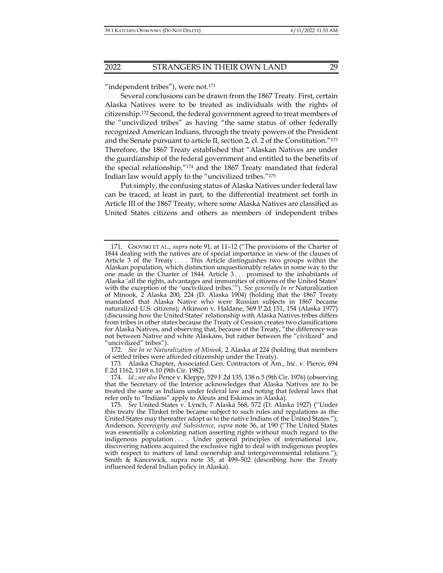"independent tribes"), were not. $171$ 

Several conclusions can be drawn from the 1867 Treaty. First, certain Alaska Natives were to be treated as individuals with the rights of citizenship.172 Second, the federal government agreed to treat members of the "uncivilized tribes" as having "the same status of other federally recognized American Indians, through the treaty powers of the President and the Senate pursuant to article II, section 2, cl. 2 of the Constitution."173 Therefore, the 1867 Treaty established that "Alaskan Natives are under the guardianship of the federal government and entitled to the benefits of the special relationship,"174 and the 1867 Treaty mandated that federal Indian law would apply to the "uncivilized tribes."175

Put simply, the confusing status of Alaska Natives under federal law can be traced, at least in part, to the differential treatment set forth in Article III of the 1867 Treaty, where some Alaska Natives are classified as United States citizens and others as members of independent tribes

 172. *See In re Naturalization of Minook,* 2 Alaska at 224 (holding that members of settled tribes were afforded citizenship under the Treaty).

 <sup>171.</sup> GSOVSKI ET AL., *supra* note 91, at 11–12 ("The provisions of the Charter of 1844 dealing with the natives are of special importance in view of the clauses of Article 3 of the Treaty . . . . This Article distinguishes two groups within the Alaskan population, which distinction unquestionably relates in some way to the one made in the Charter of 1844. Article 3 . . . promised to the inhabitants of Alaska 'all the rights, advantages and immunities of citizens of the United States' with the exception of the 'uncivilized tribes.'"). *See generally In re* Naturalization of Minook, 2 Alaska 200, 224 (D. Alaska 1904) (holding that the 1867 Treaty mandated that Alaska Native who were Russian subjects in 1867 became naturalized U.S. citizens); Atkinson v. Haldane, 569 P.2d 151, 154 (Alaska 1977) (discussing how the United States' relationship with Alaska Natives tribes differs from tribes in other states because the Treaty of Cession creates two classifications for Alaska Natives, and observing that, because of the Treaty, "the difference was not between Native and white Alaskans, but rather between the "civilized" and "uncivilized" tribes").

 <sup>173.</sup> Alaska Chapter, Associated Gen. Contractors of Am., Inc. v. Pierce, 694 F.2d 1162, 1169 n.10 (9th Cir. 1982).

 <sup>174.</sup> *Id.*; *see also* Pence v. Kleppe, 529 F.2d 135, 138 n.5 (9th Cir. 1976) (observing that the Secretary of the Interior acknowledges that Alaska Natives are to be treated the same as Indians under federal law and noting that federal laws that refer only to "Indians" apply to Aleuts and Eskimos in Alaska).

 <sup>175.</sup> *See* United States v. Lynch, 7 Alaska 568, 572 (D. Alaska 1927) ("Under this treaty the Tlinket tribe became subject to such rules and regulations as the United States may thereafter adopt as to the native Indians of the United States."); Anderson, *Sovereignty and Subsistence*, *supra* note 36, at 190 ("The United States was essentially a colonizing nation asserting rights without much regard to the indigenous population . . . Under general principles of international law, discovering nations acquired the exclusive right to deal with indigenous peoples with respect to matters of land ownership and intergovernmental relations."); Smith  $\&$  Kancewick, supra note 35, at 499–502 (describing how the Treaty influenced federal Indian policy in Alaska).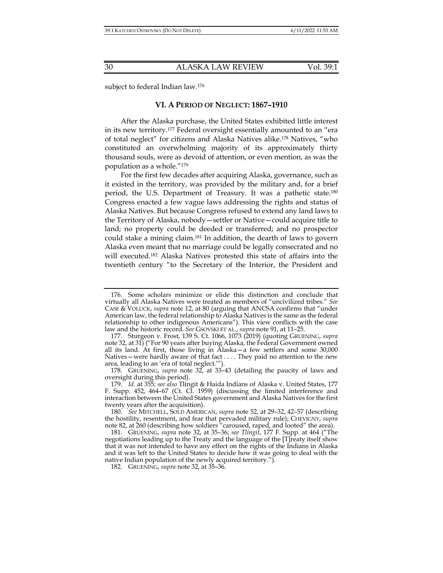subject to federal Indian law.176

## **VI. A PERIOD OF NEGLECT: 1867–1910**

After the Alaska purchase, the United States exhibited little interest in its new territory.177 Federal oversight essentially amounted to an "era of total neglect" for citizens and Alaska Natives alike.178 Natives, "who constituted an overwhelming majority of its approximately thirty thousand souls, were as devoid of attention, or even mention, as was the population as a whole."179

For the first few decades after acquiring Alaska, governance, such as it existed in the territory, was provided by the military and, for a brief period, the U.S. Department of Treasury. It was a pathetic state.180 Congress enacted a few vague laws addressing the rights and status of Alaska Natives. But because Congress refused to extend any land laws to the Territory of Alaska, nobody—settler or Native—could acquire title to land; no property could be deeded or transferred; and no prospector could stake a mining claim.181 In addition, the dearth of laws to govern Alaska even meant that no marriage could be legally consecrated and no will executed.182 Alaska Natives protested this state of affairs into the twentieth century "to the Secretary of the Interior, the President and

 <sup>176.</sup> Some scholars minimize or elide this distinction and conclude that virtually all Alaska Natives were treated as members of "uncivilized tribes." *See* CASE & VOLUCK, *supra* note 12, at 80 (arguing that ANCSA confirms that "under American law, the federal relationship to Alaska Natives is the same as the federal relationship to other indigenous Americans"). This view conflicts with the case law and the historic record. *See* GSOVSKI ET AL., *supra* note 91, at 11–25.

 <sup>177.</sup> Sturgeon v. Frost, 139 S. Ct. 1066, 1073 (2019) (quoting GRUENING, *supra* note 32, at 31) ("For 90 years after buying Alaska, the Federal Government owned all its land. At first, those living in Alaska—a few settlers and some 30,000 Natives—were hardly aware of that fact . . . . They paid no attention to the new area, leading to an 'era of total neglect.'").

 <sup>178.</sup> GRUENING, *supra* note 32, at 33–43 (detailing the paucity of laws and oversight during this period).

 <sup>179.</sup> *Id.* at 355; *see also* Tlingit & Haida Indians of Alaska v. United States, 177 F. Supp. 452, 464-67 (Ct. Cl. 1959) (discussing the limited interference and interaction between the United States government and Alaska Natives for the first twenty years after the acquisition).

 <sup>180.</sup> *See* MITCHELL, SOLD AMERICAN, *supra* note 52, at 29–32, 42–57 (describing the hostility, resentment, and fear that pervaded military rule); CHEVIGNY, *supra*  note 82, at 260 (describing how soldiers "caroused, raped, and looted" the area).

 <sup>181.</sup> GRUENING, *supra* note 32, at 35–36; *see Tlingit*, 177 F. Supp. at 464 ("The negotiations leading up to the Treaty and the language of the [T]reaty itself show that it was not intended to have any effect on the rights of the Indians in Alaska and it was left to the United States to decide how it was going to deal with the native Indian population of the newly acquired territory.").

 <sup>182.</sup> GRUENING, *supra* note 32, at 35–36.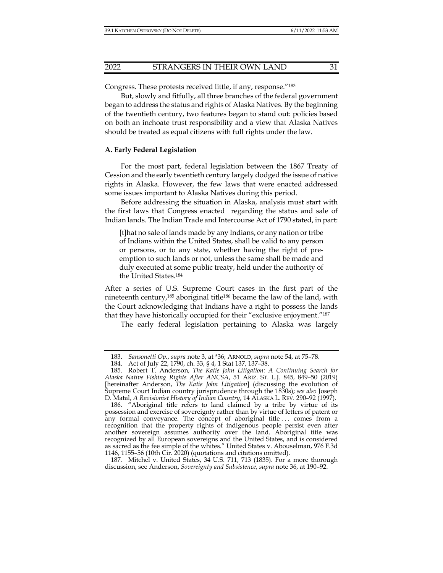Congress. These protests received little, if any, response."183

But, slowly and fitfully, all three branches of the federal government began to address the status and rights of Alaska Natives. By the beginning of the twentieth century, two features began to stand out: policies based on both an inchoate trust responsibility and a view that Alaska Natives should be treated as equal citizens with full rights under the law.

#### **A. Early Federal Legislation**

For the most part, federal legislation between the 1867 Treaty of Cession and the early twentieth century largely dodged the issue of native rights in Alaska. However, the few laws that were enacted addressed some issues important to Alaska Natives during this period.

Before addressing the situation in Alaska, analysis must start with the first laws that Congress enacted regarding the status and sale of Indian lands. The Indian Trade and Intercourse Act of 1790 stated, in part:

[t]hat no sale of lands made by any Indians, or any nation or tribe of Indians within the United States, shall be valid to any person or persons, or to any state, whether having the right of preemption to such lands or not, unless the same shall be made and duly executed at some public treaty, held under the authority of the United States.184

After a series of U.S. Supreme Court cases in the first part of the nineteenth century,<sup>185</sup> aboriginal title<sup>186</sup> became the law of the land, with the Court acknowledging that Indians have a right to possess the lands that they have historically occupied for their "exclusive enjoyment."187

The early federal legislation pertaining to Alaska was largely

 <sup>183.</sup> *Sansonetti Op.*, *supra* note 3, at \*36; ARNOLD, *supra* note 54, at 75–78.

 <sup>184.</sup> Act of July 22, 1790, ch. 33, § 4, 1 Stat 137, 137–38.

 <sup>185.</sup> Robert T. Anderson, *The Katie John Litigation: A Continuing Search for Alaska Native Fishing Rights After ANCSA*, 51 ARIZ. ST. L.J. 845, 849–50 (2019) [hereinafter Anderson, *The Katie John Litigation*] (discussing the evolution of Supreme Court Indian country jurisprudence through the 1830s); *see also* Joseph D. Matal, *A Revisionist History of Indian Country*, 14 ALASKA L. REV. 290–92 (1997).

 <sup>186. &</sup>quot;Aboriginal title refers to land claimed by a tribe by virtue of its possession and exercise of sovereignty rather than by virtue of letters of patent or any formal conveyance. The concept of aboriginal title . . . comes from a recognition that the property rights of indigenous people persist even after another sovereign assumes authority over the land. Aboriginal title was recognized by all European sovereigns and the United States, and is considered as sacred as the fee simple of the whites." United States v. Abouselman, 976 F.3d 1146, 1155–56 (10th Cir. 2020) (quotations and citations omitted).

<sup>187</sup>*.* Mitchel v. United States, 34 U.S. 711, 713 (1835). For a more thorough discussion, see Anderson, *Sovereignty and Subsistence*, *supra* note 36, at 190–92.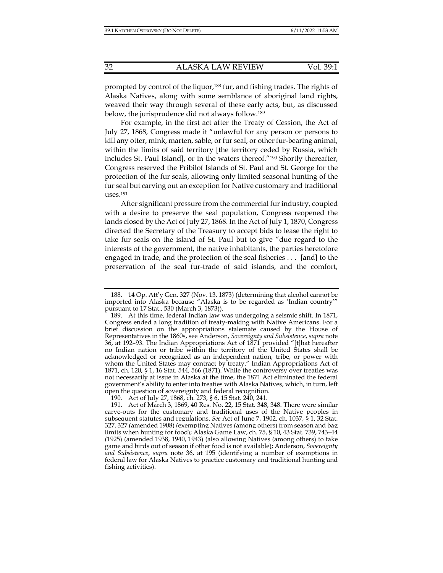prompted by control of the liquor,<sup>188</sup> fur, and fishing trades. The rights of Alaska Natives, along with some semblance of aboriginal land rights, weaved their way through several of these early acts, but, as discussed below, the jurisprudence did not always follow.189

For example, in the first act after the Treaty of Cession, the Act of July 27, 1868, Congress made it "unlawful for any person or persons to kill any otter, mink, marten, sable, or fur seal, or other fur-bearing animal, within the limits of said territory [the territory ceded by Russia, which includes St. Paul Island], or in the waters thereof."190 Shortly thereafter, Congress reserved the Pribilof Islands of St. Paul and St. George for the protection of the fur seals, allowing only limited seasonal hunting of the fur seal but carving out an exception for Native customary and traditional uses.191

After significant pressure from the commercial fur industry, coupled with a desire to preserve the seal population, Congress reopened the lands closed by the Act of July 27, 1868. In the Act of July 1, 1870, Congress directed the Secretary of the Treasury to accept bids to lease the right to take fur seals on the island of St. Paul but to give "due regard to the interests of the government, the native inhabitants, the parties heretofore engaged in trade, and the protection of the seal fisheries . . . [and] to the preservation of the seal fur-trade of said islands, and the comfort,

190. Act of July 27, 1868, ch. 273, § 6, 15 Stat. 240, 241.

 <sup>188. 14</sup> Op. Att'y Gen. 327 (Nov. 13, 1873) (determining that alcohol cannot be imported into Alaska because "Alaska is to be regarded as 'Indian country'" pursuant to 17 Stat., 530 (March 3, 1873)).

 <sup>189.</sup> At this time, federal Indian law was undergoing a seismic shift. In 1871, Congress ended a long tradition of treaty-making with Native Americans. For a brief discussion on the appropriations stalemate caused by the House of Representatives in the 1860s, see Anderson, *Sovereignty and Subsistence*, *supra* note 36, at 192–93. The Indian Appropriations Act of 1871 provided "[t]hat hereafter no Indian nation or tribe within the territory of the United States shall be acknowledged or recognized as an independent nation, tribe, or power with whom the United States may contract by treaty." Indian Appropriations Act of 1871, ch. 120, § 1, 16 Stat. 544, 566 (1871). While the controversy over treaties was not necessarily at issue in Alaska at the time, the 1871 Act eliminated the federal government's ability to enter into treaties with Alaska Natives, which, in turn, left open the question of sovereignty and federal recognition.

 <sup>191.</sup> Act of March 3, 1869, 40 Res. No. 22, 15 Stat. 348, 348. There were similar carve-outs for the customary and traditional uses of the Native peoples in subsequent statutes and regulations. *See* Act of June 7, 1902, ch. 1037, § 1, 32 Stat. 327, 327 (amended 1908) (exempting Natives (among others) from season and bag limits when hunting for food); Alaska Game Law, ch. 75, § 10, 43 Stat. 739, 743–44 (1925) (amended 1938, 1940, 1943) (also allowing Natives (among others) to take game and birds out of season if other food is not available); Anderson, *Sovereignty and Subsistence*, *supra* note 36, at 195 (identifying a number of exemptions in federal law for Alaska Natives to practice customary and traditional hunting and fishing activities).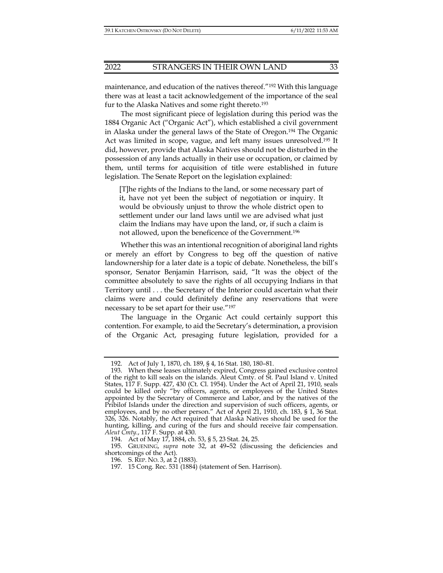maintenance, and education of the natives thereof."192 With this language there was at least a tacit acknowledgement of the importance of the seal fur to the Alaska Natives and some right thereto.<sup>193</sup>

The most significant piece of legislation during this period was the 1884 Organic Act ("Organic Act"), which established a civil government in Alaska under the general laws of the State of Oregon.194 The Organic Act was limited in scope, vague, and left many issues unresolved.195 It did, however, provide that Alaska Natives should not be disturbed in the possession of any lands actually in their use or occupation, or claimed by them, until terms for acquisition of title were established in future legislation. The Senate Report on the legislation explained:

[T]he rights of the Indians to the land, or some necessary part of it, have not yet been the subject of negotiation or inquiry. It would be obviously unjust to throw the whole district open to settlement under our land laws until we are advised what just claim the Indians may have upon the land, or, if such a claim is not allowed, upon the beneficence of the Government.196

Whether this was an intentional recognition of aboriginal land rights or merely an effort by Congress to beg off the question of native landownership for a later date is a topic of debate. Nonetheless, the bill's sponsor, Senator Benjamin Harrison, said, "It was the object of the committee absolutely to save the rights of all occupying Indians in that Territory until . . . the Secretary of the Interior could ascertain what their claims were and could definitely define any reservations that were necessary to be set apart for their use."197

The language in the Organic Act could certainly support this contention. For example, to aid the Secretary's determination, a provision of the Organic Act, presaging future legislation, provided for a

 <sup>192.</sup> Act of July 1, 1870, ch. 189, § 4, 16 Stat. 180, 180–81.

 <sup>193.</sup> When these leases ultimately expired, Congress gained exclusive control of the right to kill seals on the islands. Aleut Cmty. of St. Paul Island v. United States, 117 F. Supp. 427, 430 (Ct. Cl. 1954). Under the Act of April 21, 1910, seals could be killed only "by officers, agents, or employees of the United States appointed by the Secretary of Commerce and Labor, and by the natives of the Pribilof Islands under the direction and supervision of such officers, agents, or employees, and by no other person." Act of April 21, 1910, ch. 183, § 1, 36 Stat. 326, 326. Notably, the Act required that Alaska Natives should be used for the hunting, killing, and curing of the furs and should receive fair compensation. *Aleut Cmty.*, 117 F. Supp. at 430.

 <sup>194.</sup> Act of May 17, 1884, ch. 53, § 5, 23 Stat. 24, 25.

 <sup>195.</sup> GRUENING, *supra* note 32, at 49**–**52 (discussing the deficiencies and shortcomings of the Act).

 <sup>196.</sup> S. REP. NO. 3, at 2 (1883).

 <sup>197. 15</sup> Cong. Rec. 531 (1884) (statement of Sen. Harrison).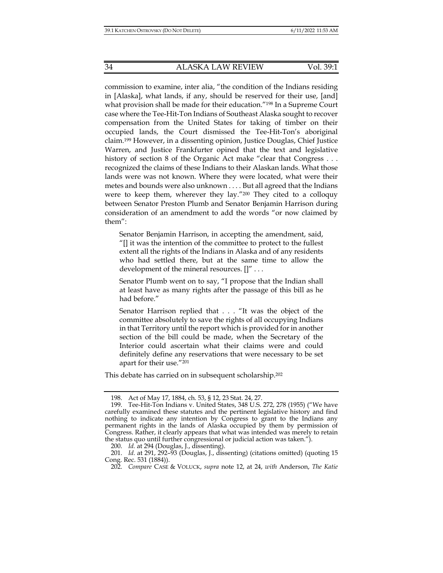commission to examine, inter alia, "the condition of the Indians residing in [Alaska], what lands, if any, should be reserved for their use, [and] what provision shall be made for their education.<sup>"198</sup> In a Supreme Court case where the Tee-Hit-Ton Indians of Southeast Alaska sought to recover compensation from the United States for taking of timber on their occupied lands, the Court dismissed the Tee-Hit-Ton's aboriginal claim.199 However, in a dissenting opinion, Justice Douglas, Chief Justice Warren, and Justice Frankfurter opined that the text and legislative history of section 8 of the Organic Act make "clear that Congress . . . recognized the claims of these Indians to their Alaskan lands. What those lands were was not known. Where they were located, what were their metes and bounds were also unknown . . . . But all agreed that the Indians were to keep them, wherever they lay."200 They cited to a colloquy between Senator Preston Plumb and Senator Benjamin Harrison during consideration of an amendment to add the words "or now claimed by them":

Senator Benjamin Harrison, in accepting the amendment, said, "[] it was the intention of the committee to protect to the fullest extent all the rights of the Indians in Alaska and of any residents who had settled there, but at the same time to allow the development of the mineral resources.  $[]''$  ...

Senator Plumb went on to say, "I propose that the Indian shall at least have as many rights after the passage of this bill as he had before."

Senator Harrison replied that . . . "It was the object of the committee absolutely to save the rights of all occupying Indians in that Territory until the report which is provided for in another section of the bill could be made, when the Secretary of the Interior could ascertain what their claims were and could definitely define any reservations that were necessary to be set apart for their use."201

This debate has carried on in subsequent scholarship.202

200. *Id.* at 294 (Douglas, J., dissenting).

 <sup>198.</sup> Act of May 17, 1884, ch. 53, § 12, 23 Stat. 24, 27.

 <sup>199.</sup> Tee-Hit-Ton Indians v. United States, 348 U.S. 272, 278 (1955) ("We have carefully examined these statutes and the pertinent legislative history and find nothing to indicate any intention by Congress to grant to the Indians any permanent rights in the lands of Alaska occupied by them by permission of Congress. Rather, it clearly appears that what was intended was merely to retain the status quo until further congressional or judicial action was taken.").

 <sup>201.</sup> *Id.* at 291, 292–93 (Douglas, J., dissenting) (citations omitted) (quoting 15 Cong. Rec. 531 (1884)).

 <sup>202.</sup> *Compare* CASE & VOLUCK, *supra* note 12, at 24, *with* Anderson, *The Katie*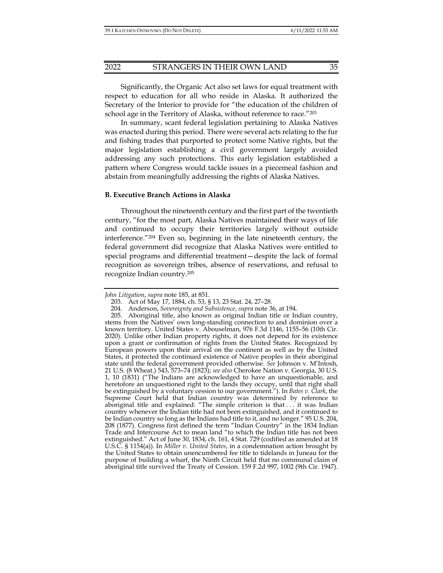Significantly, the Organic Act also set laws for equal treatment with respect to education for all who reside in Alaska. It authorized the Secretary of the Interior to provide for "the education of the children of school age in the Territory of Alaska, without reference to race."203

In summary, scant federal legislation pertaining to Alaska Natives was enacted during this period. There were several acts relating to the fur and fishing trades that purported to protect some Native rights, but the major legislation establishing a civil government largely avoided addressing any such protections. This early legislation established a pattern where Congress would tackle issues in a piecemeal fashion and abstain from meaningfully addressing the rights of Alaska Natives.

## **B. Executive Branch Actions in Alaska**

Throughout the nineteenth century and the first part of the twentieth century, "for the most part, Alaska Natives maintained their ways of life and continued to occupy their territories largely without outside interference."204 Even so, beginning in the late nineteenth century, the federal government did recognize that Alaska Natives were entitled to special programs and differential treatment—despite the lack of formal recognition as sovereign tribes, absence of reservations, and refusal to recognize Indian country.205

*John Litigation*, *supra* note 185, at 851.

 <sup>203.</sup> Act of May 17, 1884, ch. 53, § 13, 23 Stat. 24, 27–28.

 <sup>204.</sup> Anderson, *Sovereignty and Subsistence*, *supra* note 36, at 194.

 <sup>205.</sup> Aboriginal title, also known as original Indian title or Indian country, stems from the Natives' own long-standing connection to and dominion over a known territory. United States v. Abouselman, 976 F.3d 1146, 1155–56 (10th Cir. 2020). Unlike other Indian property rights, it does not depend for its existence upon a grant or confirmation of rights from the United States. Recognized by European powers upon their arrival on the continent as well as by the United States, it protected the continued existence of Native peoples in their aboriginal state until the federal government provided otherwise. *See* Johnson v. M'Intosh, 21 U.S. (8 Wheat.) 543, 573–74 (1823); *see also* Cherokee Nation v. Georgia, 30 U.S. 1, 10 (1831) ("The Indians are acknowledged to have an unquestionable, and heretofore an unquestioned right to the lands they occupy, until that right shall be extinguished by a voluntary cession to our government."). In *Bates v. Clark*, the Supreme Court held that Indian country was determined by reference to aboriginal title and explained: "The simple criterion is that . . . it was Indian country whenever the Indian title had not been extinguished, and it continued to be Indian country so long as the Indians had title to it, and no longer." 95 U.S. 204, 208 (1877). Congress first defined the term "Indian Country" in the 1834 Indian Trade and Intercourse Act to mean land "to which the Indian title has not been extinguished." Act of June 30, 1834, ch. 161, 4 Stat. 729 (codified as amended at 18 U.S.C. § 1154(a)). In *Miller v. United States*, in a condemnation action brought by the United States to obtain unencumbered fee title to tidelands in Juneau for the purpose of building a wharf, the Ninth Circuit held that no communal claim of aboriginal title survived the Treaty of Cession. 159 F.2d 997, 1002 (9th Cir. 1947).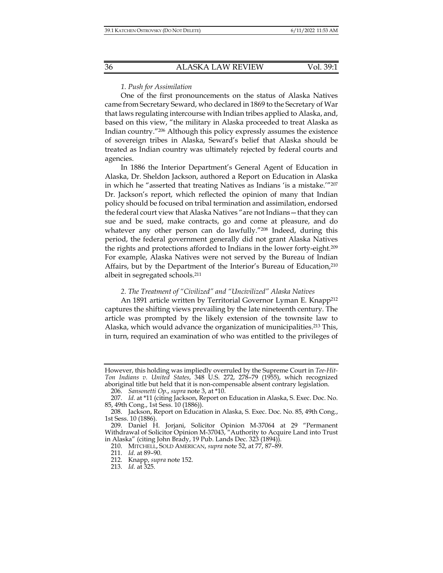## *1. Push for Assimilation*

One of the first pronouncements on the status of Alaska Natives came from Secretary Seward, who declared in 1869 to the Secretary of War that laws regulating intercourse with Indian tribes applied to Alaska, and, based on this view, "the military in Alaska proceeded to treat Alaska as Indian country."206 Although this policy expressly assumes the existence of sovereign tribes in Alaska, Seward's belief that Alaska should be treated as Indian country was ultimately rejected by federal courts and agencies.

In 1886 the Interior Department's General Agent of Education in Alaska, Dr. Sheldon Jackson, authored a Report on Education in Alaska in which he "asserted that treating Natives as Indians 'is a mistake.'"207 Dr. Jackson's report, which reflected the opinion of many that Indian policy should be focused on tribal termination and assimilation, endorsed the federal court view that Alaska Natives "are not Indians—that they can sue and be sued, make contracts, go and come at pleasure, and do whatever any other person can do lawfully.<sup>"208</sup> Indeed, during this period, the federal government generally did not grant Alaska Natives the rights and protections afforded to Indians in the lower forty-eight.209 For example, Alaska Natives were not served by the Bureau of Indian Affairs, but by the Department of the Interior's Bureau of Education,210 albeit in segregated schools.211

#### *2. The Treatment of "Civilized" and "Uncivilized" Alaska Natives*

An 1891 article written by Territorial Governor Lyman E. Knapp<sup>212</sup> captures the shifting views prevailing by the late nineteenth century. The article was prompted by the likely extension of the townsite law to Alaska, which would advance the organization of municipalities.213 This, in turn, required an examination of who was entitled to the privileges of

However, this holding was impliedly overruled by the Supreme Court in *Tee-Hit-Ton Indians v. United States*, 348 U.S. 272, 278–79 (1955), which recognized aboriginal title but held that it is non-compensable absent contrary legislation.

 <sup>206.</sup> *Sansonetti Op*., *supra* note 3, at \*10.

 <sup>207.</sup> *Id.* at \*11 (citing Jackson, Report on Education in Alaska, S. Exec. Doc. No. 85, 49th Cong., 1st Sess. 10 (1886)).

 <sup>208.</sup> Jackson, Report on Education in Alaska, S. Exec. Doc. No. 85, 49th Cong., 1st Sess. 10 (1886).

 <sup>209.</sup> Daniel H. Jorjani, Solicitor Opinion M-37064 at 29 "Permanent Withdrawal of Solicitor Opinion M-37043, "Authority to Acquire Land into Trust in Alaska" (citing John Brady, 19 Pub. Lands Dec. 323 (1894)).

 <sup>210.</sup> MITCHELL, SOLD AMERICAN, *supra* note 52, at 77, 87–89.

 <sup>211.</sup> *Id.* at 89–90.

 <sup>212.</sup> Knapp, *supra* note 152.

 <sup>213.</sup> *Id.* at 325.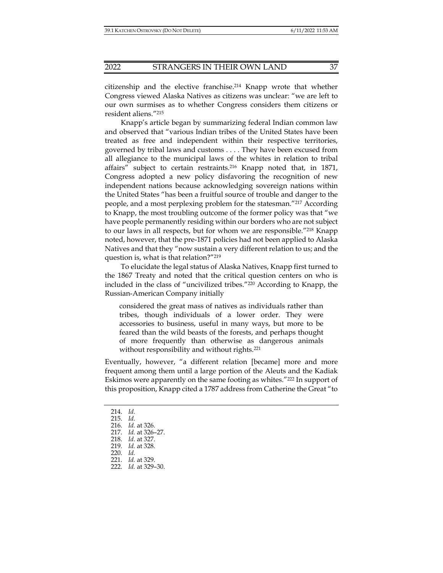citizenship and the elective franchise.214 Knapp wrote that whether Congress viewed Alaska Natives as citizens was unclear: "we are left to our own surmises as to whether Congress considers them citizens or resident aliens."215

Knapp's article began by summarizing federal Indian common law and observed that "various Indian tribes of the United States have been treated as free and independent within their respective territories, governed by tribal laws and customs . . . . They have been excused from all allegiance to the municipal laws of the whites in relation to tribal affairs" subject to certain restraints.216 Knapp noted that, in 1871, Congress adopted a new policy disfavoring the recognition of new independent nations because acknowledging sovereign nations within the United States "has been a fruitful source of trouble and danger to the people, and a most perplexing problem for the statesman."217 According to Knapp, the most troubling outcome of the former policy was that "we have people permanently residing within our borders who are not subject to our laws in all respects, but for whom we are responsible."218 Knapp noted, however, that the pre-1871 policies had not been applied to Alaska Natives and that they "now sustain a very different relation to us; and the question is, what is that relation?"219

To elucidate the legal status of Alaska Natives, Knapp first turned to the 1867 Treaty and noted that the critical question centers on who is included in the class of "uncivilized tribes."220 According to Knapp, the Russian-American Company initially

considered the great mass of natives as individuals rather than tribes, though individuals of a lower order. They were accessories to business, useful in many ways, but more to be feared than the wild beasts of the forests, and perhaps thought of more frequently than otherwise as dangerous animals without responsibility and without rights.<sup>221</sup>

Eventually, however, "a different relation [became] more and more frequent among them until a large portion of the Aleuts and the Kadiak Eskimos were apparently on the same footing as whites."<sup>222</sup> In support of this proposition, Knapp cited a 1787 address from Catherine the Great "to

 <sup>214.</sup> *Id.*

 <sup>215.</sup> *Id.*

 <sup>216.</sup> *Id.* at 326.

 <sup>217.</sup> *Id.* at 326–27.

 <sup>218.</sup> *Id.* at 327.

 <sup>219.</sup> *Id.* at 328.

 <sup>220.</sup> *Id.* 

 <sup>221.</sup> *Id.* at 329.

 <sup>222.</sup> *Id.* at 329–30.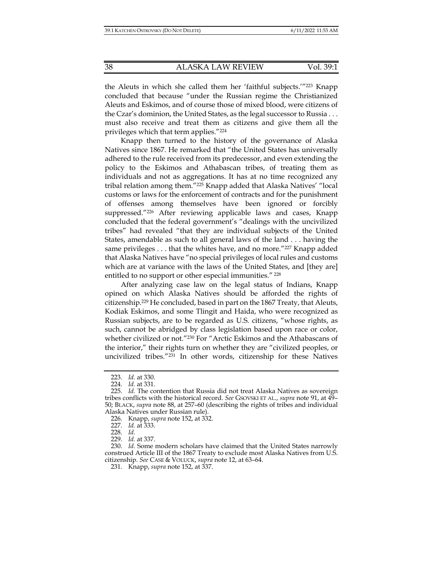the Aleuts in which she called them her 'faithful subjects.'"223 Knapp concluded that because "under the Russian regime the Christianized Aleuts and Eskimos, and of course those of mixed blood, were citizens of the Czar's dominion, the United States, as the legal successor to Russia . . . must also receive and treat them as citizens and give them all the privileges which that term applies."224

Knapp then turned to the history of the governance of Alaska Natives since 1867. He remarked that "the United States has universally adhered to the rule received from its predecessor, and even extending the policy to the Eskimos and Athabascan tribes, of treating them as individuals and not as aggregations. It has at no time recognized any tribal relation among them."225 Knapp added that Alaska Natives' "local customs or laws for the enforcement of contracts and for the punishment of offenses among themselves have been ignored or forcibly suppressed."226 After reviewing applicable laws and cases, Knapp concluded that the federal government's "dealings with the uncivilized tribes" had revealed "that they are individual subjects of the United States, amendable as such to all general laws of the land . . . having the same privileges . . . that the whites have, and no more."227 Knapp added that Alaska Natives have "no special privileges of local rules and customs which are at variance with the laws of the United States, and [they are] entitled to no support or other especial immunities." 228

After analyzing case law on the legal status of Indians, Knapp opined on which Alaska Natives should be afforded the rights of citizenship.229 He concluded, based in part on the 1867 Treaty, that Aleuts, Kodiak Eskimos, and some Tlingit and Haida, who were recognized as Russian subjects, are to be regarded as U.S. citizens, "whose rights, as such, cannot be abridged by class legislation based upon race or color, whether civilized or not."230 For "Arctic Eskimos and the Athabascans of the interior," their rights turn on whether they are "civilized peoples, or uncivilized tribes."231 In other words, citizenship for these Natives

229. *Id.* at 337.

 <sup>223.</sup> *Id.* at 330.

 <sup>224.</sup> *Id.* at 331.

 <sup>225.</sup> *Id.* The contention that Russia did not treat Alaska Natives as sovereign tribes conflicts with the historical record. *See* GSOVSKI ET AL., *supra* note 91, at 49– 50; BLACK, *supra* note 88, at 257–60 (describing the rights of tribes and individual Alaska Natives under Russian rule).

 <sup>226.</sup> Knapp, *supra* note 152, at 332.

 <sup>227.</sup> *Id.* at 333.

 <sup>228.</sup> *Id.*

 <sup>230.</sup> *Id.* Some modern scholars have claimed that the United States narrowly construed Article III of the 1867 Treaty to exclude most Alaska Natives from U.S. citizenship. *See* CASE & VOLUCK, *supra* note 12, at 63–64.

 <sup>231.</sup> Knapp, *supra* note 152, at 337.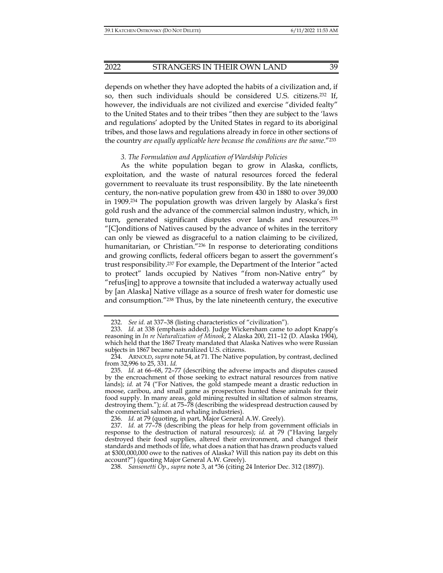depends on whether they have adopted the habits of a civilization and, if so, then such individuals should be considered U.S. citizens.232 If, however, the individuals are not civilized and exercise "divided fealty" to the United States and to their tribes "then they are subject to the 'laws and regulations' adopted by the United States in regard to its aboriginal tribes, and those laws and regulations already in force in other sections of the country *are equally applicable here because the conditions are the same*."233

*3. The Formulation and Application of Wardship Policies* 

As the white population began to grow in Alaska, conflicts, exploitation, and the waste of natural resources forced the federal government to reevaluate its trust responsibility. By the late nineteenth century, the non-native population grew from 430 in 1880 to over 39,000 in 1909.234 The population growth was driven largely by Alaska's first gold rush and the advance of the commercial salmon industry, which, in turn, generated significant disputes over lands and resources.235 "[C]onditions of Natives caused by the advance of whites in the territory can only be viewed as disgraceful to a nation claiming to be civilized, humanitarian, or Christian."<sup>236</sup> In response to deteriorating conditions and growing conflicts, federal officers began to assert the government's trust responsibility.237 For example, the Department of the Interior "acted to protect" lands occupied by Natives "from non-Native entry" by "refus[ing] to approve a townsite that included a waterway actually used by [an Alaska] Native village as a source of fresh water for domestic use and consumption."238 Thus, by the late nineteenth century, the executive

 <sup>232.</sup> *See id.* at 337–38 (listing characteristics of "civilization").

 <sup>233.</sup> *Id.* at 338 (emphasis added). Judge Wickersham came to adopt Knapp's reasoning in *In re Naturalization of Minook*, 2 Alaska 200, 211–12 (D. Alaska 1904), which held that the 1867 Treaty mandated that Alaska Natives who were Russian subjects in 1867 became naturalized U.S. citizens.

 <sup>234.</sup> ARNOLD, *supra* note 54, at 71. The Native population, by contrast, declined from 32,996 to 25, 331. *Id.* 

 <sup>235.</sup> *Id.* at 66–68, 72–77 (describing the adverse impacts and disputes caused by the encroachment of those seeking to extract natural resources from native lands); *id.* at 74 ("For Natives, the gold stampede meant a drastic reduction in moose, caribou, and small game as prospectors hunted these animals for their food supply. In many areas, gold mining resulted in siltation of salmon streams, destroying them."); *id.* at 75–78 (describing the widespread destruction caused by the commercial salmon and whaling industries).

 <sup>236.</sup> *Id.* at 79 (quoting, in part, Major General A.W. Greely).

 <sup>237.</sup> *Id.* at 77–78 (describing the pleas for help from government officials in response to the destruction of natural resources); *id.* at 79 ("Having largely destroyed their food supplies, altered their environment, and changed their standards and methods of life, what does a nation that has drawn products valued at \$300,000,000 owe to the natives of Alaska? Will this nation pay its debt on this account?") (quoting Major General A.W. Greely).

 <sup>238.</sup> *Sansonetti Op.*, *supra* note 3, at \*36 (citing 24 Interior Dec. 312 (1897)).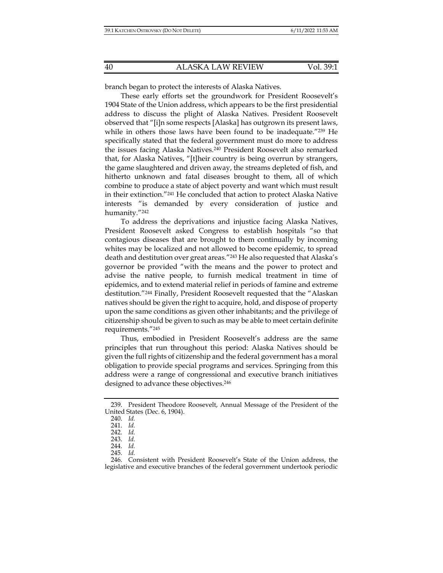branch began to protect the interests of Alaska Natives.

These early efforts set the groundwork for President Roosevelt's 1904 State of the Union address, which appears to be the first presidential address to discuss the plight of Alaska Natives. President Roosevelt observed that "[i]n some respects [Alaska] has outgrown its present laws, while in others those laws have been found to be inadequate."239 He specifically stated that the federal government must do more to address the issues facing Alaska Natives.240 President Roosevelt also remarked that, for Alaska Natives, "[t]heir country is being overrun by strangers, the game slaughtered and driven away, the streams depleted of fish, and hitherto unknown and fatal diseases brought to them, all of which combine to produce a state of abject poverty and want which must result in their extinction."241 He concluded that action to protect Alaska Native interests "is demanded by every consideration of justice and humanity."242

To address the deprivations and injustice facing Alaska Natives, President Roosevelt asked Congress to establish hospitals "so that contagious diseases that are brought to them continually by incoming whites may be localized and not allowed to become epidemic, to spread death and destitution over great areas."243 He also requested that Alaska's governor be provided "with the means and the power to protect and advise the native people, to furnish medical treatment in time of epidemics, and to extend material relief in periods of famine and extreme destitution."244 Finally, President Roosevelt requested that the "Alaskan natives should be given the right to acquire, hold, and dispose of property upon the same conditions as given other inhabitants; and the privilege of citizenship should be given to such as may be able to meet certain definite requirements."245

Thus, embodied in President Roosevelt's address are the same principles that run throughout this period: Alaska Natives should be given the full rights of citizenship and the federal government has a moral obligation to provide special programs and services. Springing from this address were a range of congressional and executive branch initiatives designed to advance these objectives.246

 <sup>239.</sup> President Theodore Roosevelt, Annual Message of the President of the United States (Dec. 6, 1904).

 <sup>240.</sup> *Id.* 

 <sup>241.</sup> *Id.* 

 <sup>242.</sup> *Id.* 

 <sup>243.</sup> *Id.* 

 <sup>244.</sup> *Id.* 

 <sup>245.</sup> *Id.* 

 <sup>246.</sup> Consistent with President Roosevelt's State of the Union address, the legislative and executive branches of the federal government undertook periodic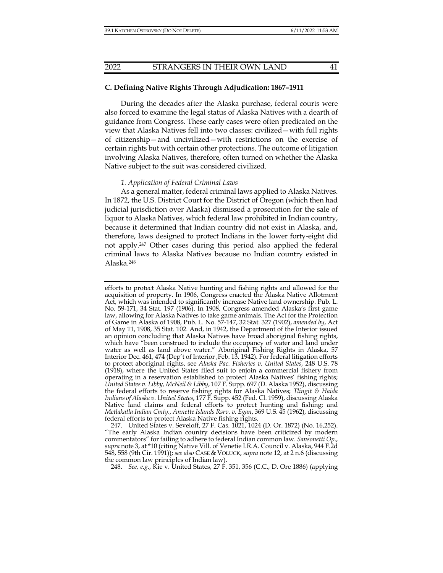## **C. Defining Native Rights Through Adjudication: 1867–1911**

During the decades after the Alaska purchase, federal courts were also forced to examine the legal status of Alaska Natives with a dearth of guidance from Congress. These early cases were often predicated on the view that Alaska Natives fell into two classes: civilized—with full rights of citizenship—and uncivilized—with restrictions on the exercise of certain rights but with certain other protections. The outcome of litigation involving Alaska Natives, therefore, often turned on whether the Alaska Native subject to the suit was considered civilized.

## *1. Application of Federal Criminal Laws*

As a general matter, federal criminal laws applied to Alaska Natives. In 1872, the U.S. District Court for the District of Oregon (which then had judicial jurisdiction over Alaska) dismissed a prosecution for the sale of liquor to Alaska Natives, which federal law prohibited in Indian country, because it determined that Indian country did not exist in Alaska, and, therefore, laws designed to protect Indians in the lower forty-eight did not apply.247 Other cases during this period also applied the federal criminal laws to Alaska Natives because no Indian country existed in Alaska.248

248. *See, e.g.*, Kie v. United States, 27 F. 351, 356 (C.C., D. Ore 1886) (applying

efforts to protect Alaska Native hunting and fishing rights and allowed for the acquisition of property. In 1906, Congress enacted the Alaska Native Allotment Act, which was intended to significantly increase Native land ownership. Pub. L. No. 59-171, 34 Stat. 197 (1906). In 1908, Congress amended Alaska's first game law, allowing for Alaska Natives to take game animals. The Act for the Protection of Game in Alaska of 1908, Pub. L. No. 57-147, 32 Stat. 327 (1902), *amended by*, Act of May 11, 1908, 35 Stat. 102. And, in 1942, the Department of the Interior issued an opinion concluding that Alaska Natives have broad aboriginal fishing rights, which have "been construed to include the occupancy of water and land under water as well as land above water." Aboriginal Fishing Rights in Alaska, 57 Interior Dec. 461, 474 (Dep't of Interior ,Feb. 13, 1942). For federal litigation efforts to protect aboriginal rights, see *Alaska Pac. Fisheries v. United States*, 248 U.S. 78 (1918), where the United States filed suit to enjoin a commercial fishery from operating in a reservation established to protect Alaska Natives' fishing rights; *United States v. Libby, McNeil & Libby*, 107 F. Supp. 697 (D. Alaska 1952), discussing the federal efforts to reserve fishing rights for Alaska Natives; *Tlingit & Haida Indians of Alaska v. United States*, 177 F. Supp. 452 (Fed. Cl. 1959), discussing Alaska Native land claims and federal efforts to protect hunting and fishing; and *Metlakatla Indian Cmty., Annette Islands Rsrv. v. Egan*, 369 U.S. 45 (1962), discussing federal efforts to protect Alaska Native fishing rights.

 <sup>247.</sup> United States v. Seveloff, 27 F. Cas. 1021, 1024 (D. Or. 1872) (No. 16,252). "The early Alaska Indian country decisions have been criticized by modern commentators" for failing to adhere to federal Indian common law. *Sansonetti Op*., *supra* note 3, at \*10 (citing Native Vill. of Venetie I.R.A. Council v. Alaska, 944 F.2d 548, 558 (9th Cir. 1991)); *see also* CASE & VOLUCK, *supra* note 12, at 2 n.6 (discussing the common law principles of Indian law).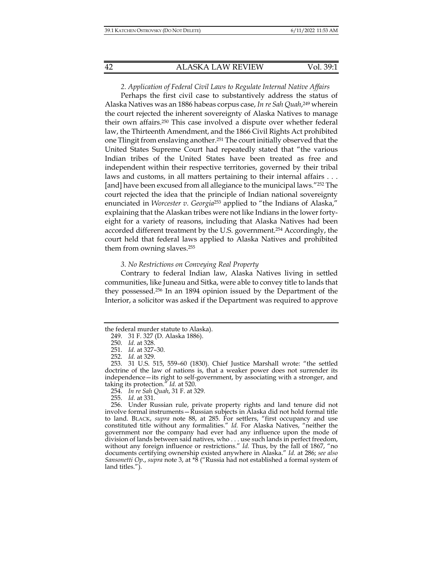## *2. Application of Federal Civil Laws to Regulate Internal Native Affairs*

Perhaps the first civil case to substantively address the status of Alaska Natives was an 1886 habeas corpus case, *In re Sah Quah*, <sup>249</sup> wherein the court rejected the inherent sovereignty of Alaska Natives to manage their own affairs.250 This case involved a dispute over whether federal law, the Thirteenth Amendment, and the 1866 Civil Rights Act prohibited one Tlingit from enslaving another.251 The court initially observed that the United States Supreme Court had repeatedly stated that "the various Indian tribes of the United States have been treated as free and independent within their respective territories, governed by their tribal laws and customs, in all matters pertaining to their internal affairs . . . [and] have been excused from all allegiance to the municipal laws."252 The court rejected the idea that the principle of Indian national sovereignty enunciated in *Worcester v. Georgia*253 applied to "the Indians of Alaska," explaining that the Alaskan tribes were not like Indians in the lower fortyeight for a variety of reasons, including that Alaska Natives had been accorded different treatment by the U.S. government.254 Accordingly, the court held that federal laws applied to Alaska Natives and prohibited them from owning slaves.255

#### *3. No Restrictions on Conveying Real Property*

Contrary to federal Indian law, Alaska Natives living in settled communities, like Juneau and Sitka, were able to convey title to lands that they possessed.256 In an 1894 opinion issued by the Department of the Interior, a solicitor was asked if the Department was required to approve

255. *Id.* at 331.

 256. Under Russian rule, private property rights and land tenure did not involve formal instruments—Russian subjects in Alaska did not hold formal title to land. BLACK, *supra* note 88, at 285. For settlers, "first occupancy and use constituted title without any formalities." *Id.* For Alaska Natives, "neither the government nor the company had ever had any influence upon the mode of division of lands between said natives, who . . . use such lands in perfect freedom, without any foreign influence or restrictions." *Id.* Thus, by the fall of 1867, "no documents certifying ownership existed anywhere in Alaska." *Id.* at 286; *see also Sansonetti Op*., *supra* note 3, at \*8 ("Russia had not established a formal system of land titles.").

the federal murder statute to Alaska).

 <sup>249. 31</sup> F. 327 (D. Alaska 1886).

 <sup>250.</sup> *Id.* at 328.

 <sup>251.</sup> *Id.* at 327–30.

 <sup>252.</sup> *Id.* at 329.

 <sup>253. 31</sup> U.S. 515, 559–60 (1830). Chief Justice Marshall wrote: "the settled doctrine of the law of nations is, that a weaker power does not surrender its independence—its right to self-government, by associating with a stronger, and taking its protection." *Id.* at 520.

 <sup>254.</sup> *In re Sah Quah*, 31 F. at 329.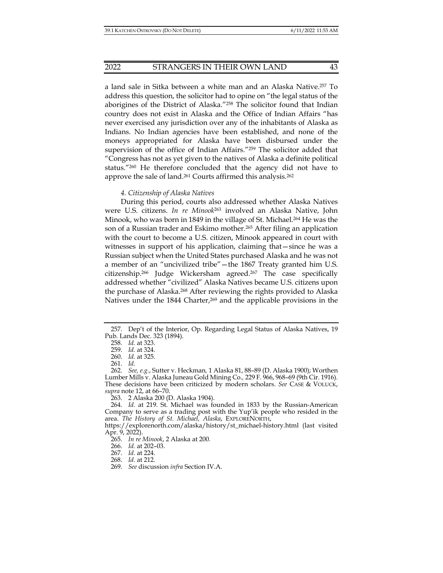## 2022 STRANGERS IN THEIR OWN LAND 43

a land sale in Sitka between a white man and an Alaska Native.257 To address this question, the solicitor had to opine on "the legal status of the aborigines of the District of Alaska."258 The solicitor found that Indian country does not exist in Alaska and the Office of Indian Affairs "has never exercised any jurisdiction over any of the inhabitants of Alaska as Indians. No Indian agencies have been established, and none of the moneys appropriated for Alaska have been disbursed under the supervision of the office of Indian Affairs."259 The solicitor added that "Congress has not as yet given to the natives of Alaska a definite political status."260 He therefore concluded that the agency did not have to approve the sale of land.261 Courts affirmed this analysis.262

## *4. Citizenship of Alaska Natives*

During this period, courts also addressed whether Alaska Natives were U.S. citizens. *In re Minook*<sup>263</sup> involved an Alaska Native, John Minook, who was born in 1849 in the village of St. Michael.264 He was the son of a Russian trader and Eskimo mother.265 After filing an application with the court to become a U.S. citizen, Minook appeared in court with witnesses in support of his application, claiming that—since he was a Russian subject when the United States purchased Alaska and he was not a member of an "uncivilized tribe"—the 1867 Treaty granted him U.S. citizenship.266 Judge Wickersham agreed.267 The case specifically addressed whether "civilized" Alaska Natives became U.S. citizens upon the purchase of Alaska.268 After reviewing the rights provided to Alaska Natives under the 1844 Charter,269 and the applicable provisions in the

263. 2 Alaska 200 (D. Alaska 1904).

 <sup>257.</sup> Dep't of the Interior, Op. Regarding Legal Status of Alaska Natives, 19 Pub. Lands Dec. 323 (1894).

 <sup>258.</sup> *Id.* at 323.

 <sup>259.</sup> *Id.* at 324.

 <sup>260.</sup> *Id.* at 325.

 <sup>261.</sup> *Id.* 

 <sup>262.</sup> *See, e.g.*, Sutter v. Heckman*,* 1 Alaska 81, 88–89 (D. Alaska 1900); Worthen Lumber Mills v. Alaska Juneau Gold Mining Co.*,* 229 F. 966, 968–69 (9th Cir. 1916). These decisions have been criticized by modern scholars. *See* CASE & VOLUCK, *supra* note 12, at 66–70.

 <sup>264.</sup> *Id.* at 219. St. Michael was founded in 1833 by the Russian-American Company to serve as a trading post with the Yup'ik people who resided in the area. *The History of St. Michael, Alaska*, EXPLORENORTH,

https://explorenorth.com/alaska/history/st\_michael-history.html (last visited Apr. 9, 2022).

 <sup>265.</sup> *In re Minook*, 2 Alaska at 200*.* 

 <sup>266.</sup> *Id.* at 202–03.

 <sup>267.</sup> *Id.* at 224.

 <sup>268.</sup> *Id.* at 212.

 <sup>269.</sup> *See* discussion *infra* Section IV.A.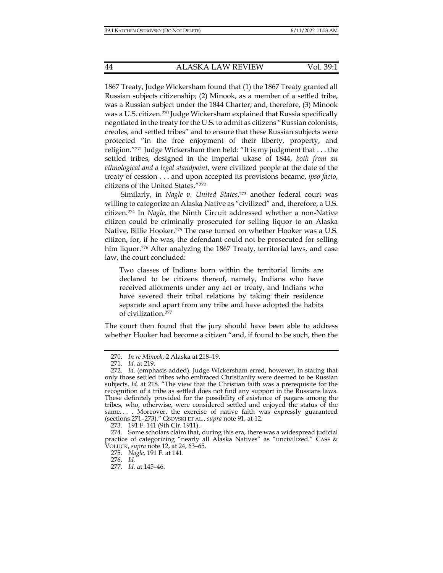1867 Treaty, Judge Wickersham found that (1) the 1867 Treaty granted all Russian subjects citizenship; (2) Minook, as a member of a settled tribe, was a Russian subject under the 1844 Charter; and, therefore, (3) Minook was a U.S. citizen.270 Judge Wickersham explained that Russia specifically negotiated in the treaty for the U.S. to admit as citizens "Russian colonists, creoles, and settled tribes" and to ensure that these Russian subjects were protected "in the free enjoyment of their liberty, property, and religion."271 Judge Wickersham then held: "It is my judgment that . . . the settled tribes, designed in the imperial ukase of 1844, *both from an ethnological and a legal standpoint*, were civilized people at the date of the treaty of cession . . . and upon accepted its provisions became, *ipso facto*, citizens of the United States."272

Similarly, in *Nagle v. United States*, 273 another federal court was willing to categorize an Alaska Native as "civilized" and, therefore, a U.S. citizen.274 In *Nagle,* the Ninth Circuit addressed whether a non-Native citizen could be criminally prosecuted for selling liquor to an Alaska Native, Billie Hooker.275 The case turned on whether Hooker was a U.S. citizen, for, if he was, the defendant could not be prosecuted for selling him liquor.<sup>276</sup> After analyzing the 1867 Treaty, territorial laws, and case law, the court concluded:

Two classes of Indians born within the territorial limits are declared to be citizens thereof, namely, Indians who have received allotments under any act or treaty, and Indians who have severed their tribal relations by taking their residence separate and apart from any tribe and have adopted the habits of civilization.277

The court then found that the jury should have been able to address whether Hooker had become a citizen "and, if found to be such, then the

 <sup>270.</sup> *In re Minook*, 2 Alaska at 218–19.

 <sup>271.</sup> *Id.* at 219.

 <sup>272.</sup> *Id.* (emphasis added). Judge Wickersham erred, however, in stating that only those settled tribes who embraced Christianity were deemed to be Russian subjects. *Id.* at 218. "The view that the Christian faith was a prerequisite for the recognition of a tribe as settled does not find any support in the Russians laws. These definitely provided for the possibility of existence of pagans among the tribes, who, otherwise, were considered settled and enjoyed the status of the same.... Moreover, the exercise of native faith was expressly guaranteed (sections 271–273)." GSOVSKI ET AL., *supra* note 91, at 12.

 <sup>273. 191</sup> F. 141 (9th Cir. 1911).

 <sup>274.</sup> Some scholars claim that, during this era, there was a widespread judicial practice of categorizing "nearly all Alaska Natives" as "uncivilized." CASE & VOLUCK, *supra* note 12, at 24, 63–65.

 <sup>275.</sup> *Nagle,* 191 F. at 141.

 <sup>276.</sup> *Id.*

 <sup>277.</sup> *Id.* at 145–46.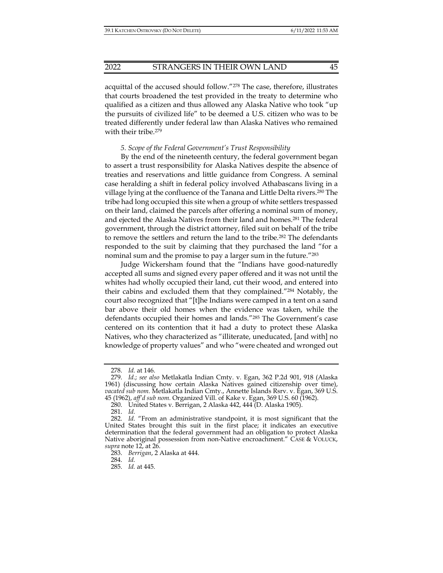acquittal of the accused should follow."278 The case, therefore, illustrates that courts broadened the test provided in the treaty to determine who qualified as a citizen and thus allowed any Alaska Native who took "up the pursuits of civilized life" to be deemed a U.S. citizen who was to be treated differently under federal law than Alaska Natives who remained with their tribe.<sup>279</sup>

#### *5. Scope of the Federal Government's Trust Responsibility*

By the end of the nineteenth century, the federal government began to assert a trust responsibility for Alaska Natives despite the absence of treaties and reservations and little guidance from Congress. A seminal case heralding a shift in federal policy involved Athabascans living in a village lying at the confluence of the Tanana and Little Delta rivers.280 The tribe had long occupied this site when a group of white settlers trespassed on their land, claimed the parcels after offering a nominal sum of money, and ejected the Alaska Natives from their land and homes.281 The federal government, through the district attorney, filed suit on behalf of the tribe to remove the settlers and return the land to the tribe.282 The defendants responded to the suit by claiming that they purchased the land "for a nominal sum and the promise to pay a larger sum in the future."283

Judge Wickersham found that the "Indians have good-naturedly accepted all sums and signed every paper offered and it was not until the whites had wholly occupied their land, cut their wood, and entered into their cabins and excluded them that they complained."284 Notably, the court also recognized that "[t]he Indians were camped in a tent on a sand bar above their old homes when the evidence was taken, while the defendants occupied their homes and lands."285 The Government's case centered on its contention that it had a duty to protect these Alaska Natives, who they characterized as "illiterate, uneducated, [and with] no knowledge of property values" and who "were cheated and wronged out

 <sup>278.</sup> *Id.* at 146.

 <sup>279.</sup> *Id.*; *see also* Metlakatla Indian Cmty. v. Egan, 362 P.2d 901, 918 (Alaska 1961) (discussing how certain Alaska Natives gained citizenship over time), *vacated sub nom.* Metlakatla Indian Cmty., Annette Islands Rsrv. v. Egan, 369 U.S. 45 (1962), *aff'd sub nom.* Organized Vill. of Kake v. Egan, 369 U.S. 60 (1962).

 <sup>280.</sup> United States v. Berrigan, 2 Alaska 442, 444 (D. Alaska 1905).

 <sup>281.</sup> *Id.*

 <sup>282.</sup> *Id.* "From an administrative standpoint, it is most significant that the United States brought this suit in the first place; it indicates an executive determination that the federal government had an obligation to protect Alaska Native aboriginal possession from non-Native encroachment." CASE & VOLUCK, *supra* note 12, at 26.

 <sup>283.</sup> *Berrigan*, 2 Alaska at 444.

 <sup>284.</sup> *Id.*

 <sup>285.</sup> *Id.* at 445.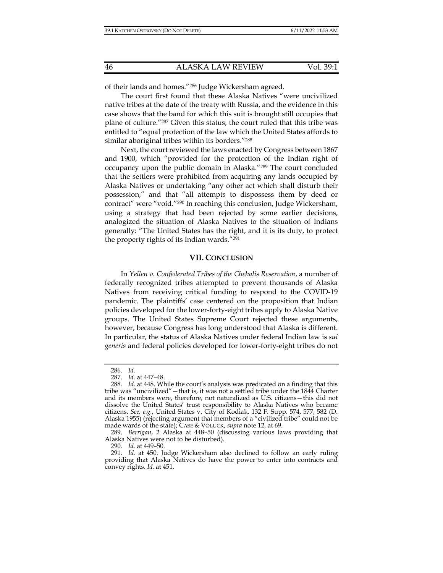of their lands and homes."286 Judge Wickersham agreed.

The court first found that these Alaska Natives "were uncivilized native tribes at the date of the treaty with Russia, and the evidence in this case shows that the band for which this suit is brought still occupies that plane of culture."287 Given this status, the court ruled that this tribe was entitled to "equal protection of the law which the United States affords to similar aboriginal tribes within its borders."288

Next, the court reviewed the laws enacted by Congress between 1867 and 1900, which "provided for the protection of the Indian right of occupancy upon the public domain in Alaska."289 The court concluded that the settlers were prohibited from acquiring any lands occupied by Alaska Natives or undertaking "any other act which shall disturb their possession," and that "all attempts to dispossess them by deed or contract" were "void."290 In reaching this conclusion, Judge Wickersham, using a strategy that had been rejected by some earlier decisions, analogized the situation of Alaska Natives to the situation of Indians generally: "The United States has the right, and it is its duty, to protect the property rights of its Indian wards."291

#### **VII. CONCLUSION**

In *Yellen v. Confederated Tribes of the Chehalis Reservation*, a number of federally recognized tribes attempted to prevent thousands of Alaska Natives from receiving critical funding to respond to the COVID-19 pandemic. The plaintiffs' case centered on the proposition that Indian policies developed for the lower-forty-eight tribes apply to Alaska Native groups. The United States Supreme Court rejected these arguments, however, because Congress has long understood that Alaska is different. In particular, the status of Alaska Natives under federal Indian law is *sui generis* and federal policies developed for lower-forty-eight tribes do not

290. *Id.* at 449–50.

 <sup>286.</sup> *Id.*

 <sup>287.</sup> *Id.* at 447–48.

 <sup>288.</sup> *Id.* at 448. While the court's analysis was predicated on a finding that this tribe was "uncivilized"—that is, it was not a settled tribe under the 1844 Charter and its members were, therefore, not naturalized as U.S. citizens—this did not dissolve the United States' trust responsibility to Alaska Natives who became citizens. *See, e.g.*, United States v. City of Kodiak, 132 F. Supp. 574, 577, 582 (D. Alaska 1955) (rejecting argument that members of a "civilized tribe" could not be made wards of the state); CASE & VOLUCK, *supra* note 12, at 69.

 <sup>289.</sup> *Berrigan*, 2 Alaska at 448–50 (discussing various laws providing that Alaska Natives were not to be disturbed).

 <sup>291.</sup> *Id.* at 450. Judge Wickersham also declined to follow an early ruling providing that Alaska Natives do have the power to enter into contracts and convey rights. *Id.* at 451.